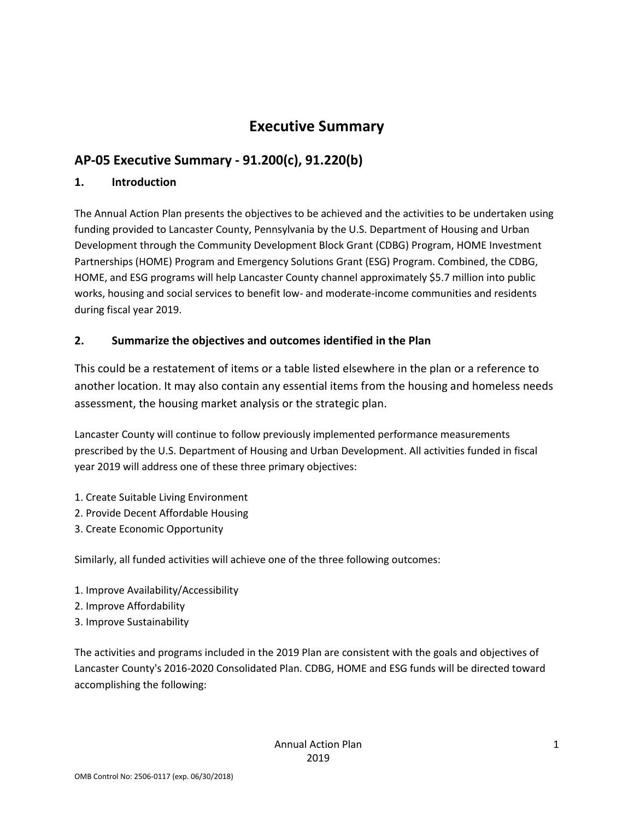## **Executive Summary**

## **AP-05 Executive Summary - 91.200(c), 91.220(b)**

#### **1. Introduction**

The Annual Action Plan presents the objectives to be achieved and the activities to be undertaken using funding provided to Lancaster County, Pennsylvania by the U.S. Department of Housing and Urban Development through the Community Development Block Grant (CDBG) Program, HOME Investment Partnerships (HOME) Program and Emergency Solutions Grant (ESG) Program. Combined, the CDBG, HOME, and ESG programs will help Lancaster County channel approximately \$5.7 million into public works, housing and social services to benefit low- and moderate-income communities and residents during fiscal year 2019.

#### **2. Summarize the objectives and outcomes identified in the Plan**

This could be a restatement of items or a table listed elsewhere in the plan or a reference to another location. It may also contain any essential items from the housing and homeless needs assessment, the housing market analysis or the strategic plan.

Lancaster County will continue to follow previously implemented performance measurements prescribed by the U.S. Department of Housing and Urban Development. All activities funded in fiscal year 2019 will address one of these three primary objectives:

- 1. Create Suitable Living Environment
- 2. Provide Decent Affordable Housing
- 3. Create Economic Opportunity

Similarly, all funded activities will achieve one of the three following outcomes:

- 1. Improve Availability/Accessibility
- 2. Improve Affordability
- 3. Improve Sustainability

The activities and programs included in the 2019 Plan are consistent with the goals and objectives of Lancaster County's 2016-2020 Consolidated Plan. CDBG, HOME and ESG funds will be directed toward accomplishing the following: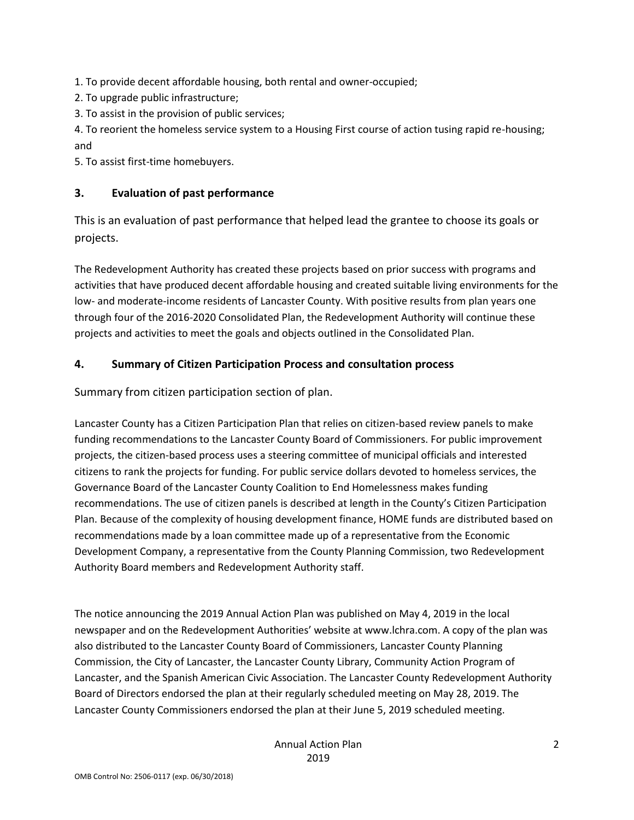1. To provide decent affordable housing, both rental and owner-occupied;

2. To upgrade public infrastructure;

3. To assist in the provision of public services;

4. To reorient the homeless service system to a Housing First course of action tusing rapid re-housing; and

5. To assist first-time homebuyers.

#### **3. Evaluation of past performance**

This is an evaluation of past performance that helped lead the grantee to choose its goals or projects.

The Redevelopment Authority has created these projects based on prior success with programs and activities that have produced decent affordable housing and created suitable living environments for the low- and moderate-income residents of Lancaster County. With positive results from plan years one through four of the 2016-2020 Consolidated Plan, the Redevelopment Authority will continue these projects and activities to meet the goals and objects outlined in the Consolidated Plan.

#### **4. Summary of Citizen Participation Process and consultation process**

Summary from citizen participation section of plan.

Lancaster County has a Citizen Participation Plan that relies on citizen-based review panels to make funding recommendations to the Lancaster County Board of Commissioners. For public improvement projects, the citizen-based process uses a steering committee of municipal officials and interested citizens to rank the projects for funding. For public service dollars devoted to homeless services, the Governance Board of the Lancaster County Coalition to End Homelessness makes funding recommendations. The use of citizen panels is described at length in the County's Citizen Participation Plan. Because of the complexity of housing development finance, HOME funds are distributed based on recommendations made by a loan committee made up of a representative from the Economic Development Company, a representative from the County Planning Commission, two Redevelopment Authority Board members and Redevelopment Authority staff.

The notice announcing the 2019 Annual Action Plan was published on May 4, 2019 in the local newspaper and on the Redevelopment Authorities' website at www.lchra.com. A copy of the plan was also distributed to the Lancaster County Board of Commissioners, Lancaster County Planning Commission, the City of Lancaster, the Lancaster County Library, Community Action Program of Lancaster, and the Spanish American Civic Association. The Lancaster County Redevelopment Authority Board of Directors endorsed the plan at their regularly scheduled meeting on May 28, 2019. The Lancaster County Commissioners endorsed the plan at their June 5, 2019 scheduled meeting.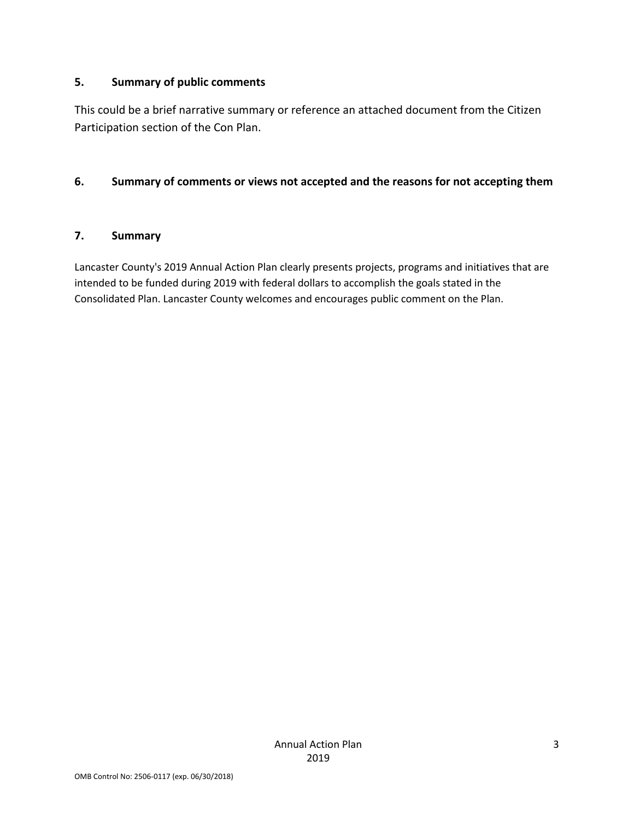#### **5. Summary of public comments**

This could be a brief narrative summary or reference an attached document from the Citizen Participation section of the Con Plan.

#### **6. Summary of comments or views not accepted and the reasons for not accepting them**

#### **7. Summary**

Lancaster County's 2019 Annual Action Plan clearly presents projects, programs and initiatives that are intended to be funded during 2019 with federal dollars to accomplish the goals stated in the Consolidated Plan. Lancaster County welcomes and encourages public comment on the Plan.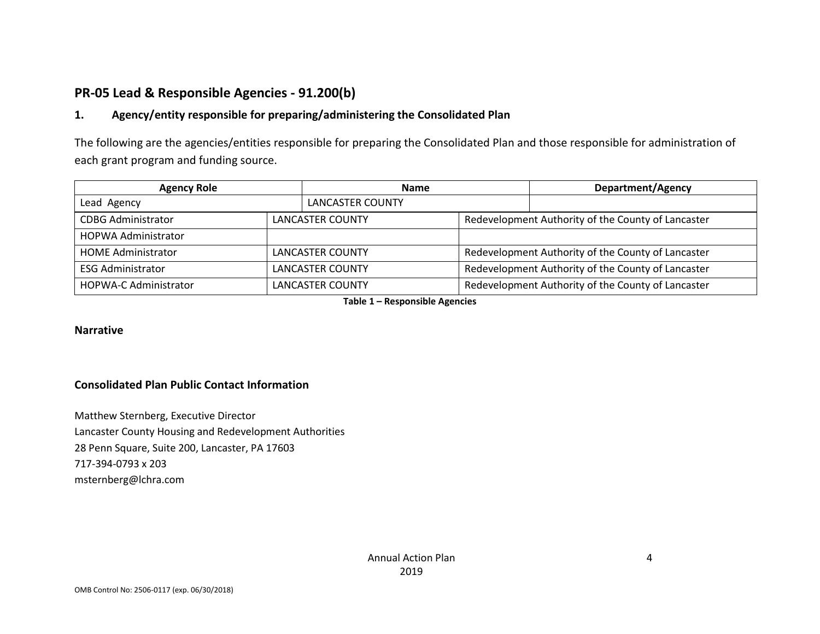## **PR-05 Lead & Responsible Agencies - 91.200(b)**

#### **1. Agency/entity responsible for preparing/administering the Consolidated Plan**

The following are the agencies/entities responsible for preparing the Consolidated Plan and those responsible for administration of each grant program and funding source.

| <b>Agency Role</b>           | <b>Name</b>             |                         | Department/Agency                                  |                                                    |  |
|------------------------------|-------------------------|-------------------------|----------------------------------------------------|----------------------------------------------------|--|
| Lead Agency                  |                         | LANCASTER COUNTY        |                                                    |                                                    |  |
| <b>CDBG Administrator</b>    | <b>LANCASTER COUNTY</b> |                         | Redevelopment Authority of the County of Lancaster |                                                    |  |
| <b>HOPWA Administrator</b>   |                         |                         |                                                    |                                                    |  |
| <b>HOME Administrator</b>    | <b>LANCASTER COUNTY</b> |                         | Redevelopment Authority of the County of Lancaster |                                                    |  |
| <b>ESG Administrator</b>     |                         | <b>LANCASTER COUNTY</b> |                                                    | Redevelopment Authority of the County of Lancaster |  |
| <b>HOPWA-C Administrator</b> |                         | <b>LANCASTER COUNTY</b> |                                                    | Redevelopment Authority of the County of Lancaster |  |

**Table 1 – Responsible Agencies**

#### **Narrative**

#### **Consolidated Plan Public Contact Information**

Matthew Sternberg, Executive Director Lancaster County Housing and Redevelopment Authorities 28 Penn Square, Suite 200, Lancaster, PA 17603 717-394-0793 x 203 msternberg@lchra.com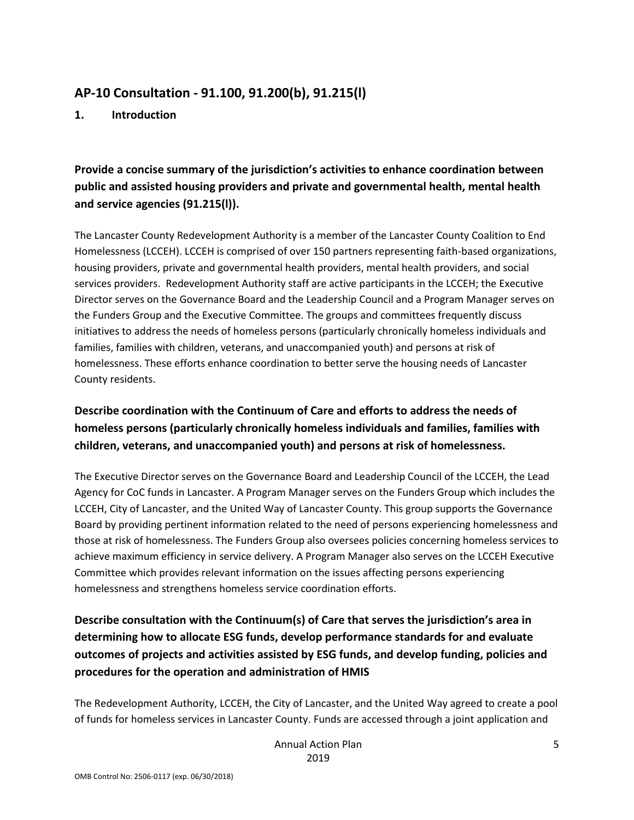### **AP-10 Consultation - 91.100, 91.200(b), 91.215(l)**

**1. Introduction**

## **Provide a concise summary of the jurisdiction's activities to enhance coordination between public and assisted housing providers and private and governmental health, mental health and service agencies (91.215(l)).**

The Lancaster County Redevelopment Authority is a member of the Lancaster County Coalition to End Homelessness (LCCEH). LCCEH is comprised of over 150 partners representing faith-based organizations, housing providers, private and governmental health providers, mental health providers, and social services providers. Redevelopment Authority staff are active participants in the LCCEH; the Executive Director serves on the Governance Board and the Leadership Council and a Program Manager serves on the Funders Group and the Executive Committee. The groups and committees frequently discuss initiatives to address the needs of homeless persons (particularly chronically homeless individuals and families, families with children, veterans, and unaccompanied youth) and persons at risk of homelessness. These efforts enhance coordination to better serve the housing needs of Lancaster County residents.

### **Describe coordination with the Continuum of Care and efforts to address the needs of homeless persons (particularly chronically homeless individuals and families, families with children, veterans, and unaccompanied youth) and persons at risk of homelessness.**

The Executive Director serves on the Governance Board and Leadership Council of the LCCEH, the Lead Agency for CoC funds in Lancaster. A Program Manager serves on the Funders Group which includes the LCCEH, City of Lancaster, and the United Way of Lancaster County. This group supports the Governance Board by providing pertinent information related to the need of persons experiencing homelessness and those at risk of homelessness. The Funders Group also oversees policies concerning homeless services to achieve maximum efficiency in service delivery. A Program Manager also serves on the LCCEH Executive Committee which provides relevant information on the issues affecting persons experiencing homelessness and strengthens homeless service coordination efforts.

## **Describe consultation with the Continuum(s) of Care that serves the jurisdiction's area in determining how to allocate ESG funds, develop performance standards for and evaluate outcomes of projects and activities assisted by ESG funds, and develop funding, policies and procedures for the operation and administration of HMIS**

The Redevelopment Authority, LCCEH, the City of Lancaster, and the United Way agreed to create a pool of funds for homeless services in Lancaster County. Funds are accessed through a joint application and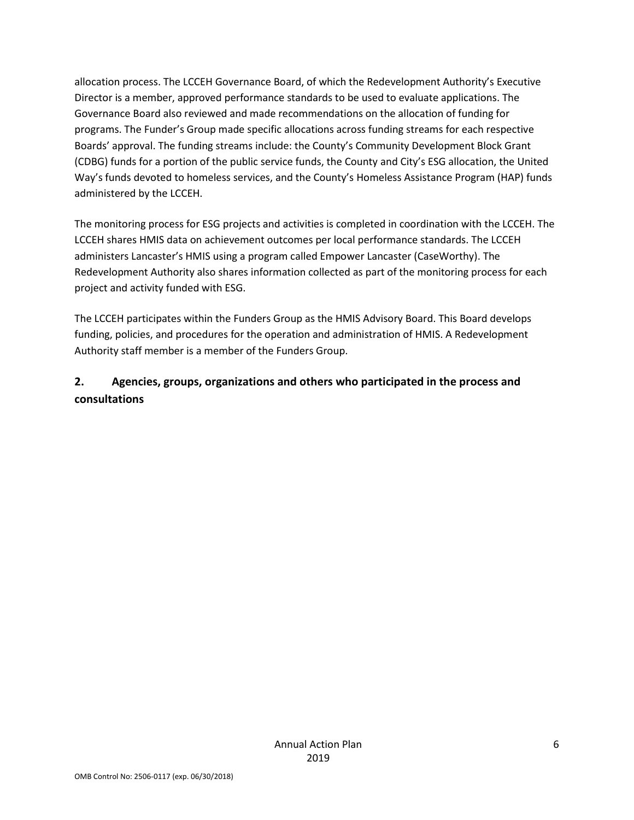allocation process. The LCCEH Governance Board, of which the Redevelopment Authority's Executive Director is a member, approved performance standards to be used to evaluate applications. The Governance Board also reviewed and made recommendations on the allocation of funding for programs. The Funder's Group made specific allocations across funding streams for each respective Boards' approval. The funding streams include: the County's Community Development Block Grant (CDBG) funds for a portion of the public service funds, the County and City's ESG allocation, the United Way's funds devoted to homeless services, and the County's Homeless Assistance Program (HAP) funds administered by the LCCEH.

The monitoring process for ESG projects and activities is completed in coordination with the LCCEH. The LCCEH shares HMIS data on achievement outcomes per local performance standards. The LCCEH administers Lancaster's HMIS using a program called Empower Lancaster (CaseWorthy). The Redevelopment Authority also shares information collected as part of the monitoring process for each project and activity funded with ESG.

The LCCEH participates within the Funders Group as the HMIS Advisory Board. This Board develops funding, policies, and procedures for the operation and administration of HMIS. A Redevelopment Authority staff member is a member of the Funders Group.

### **2. Agencies, groups, organizations and others who participated in the process and consultations**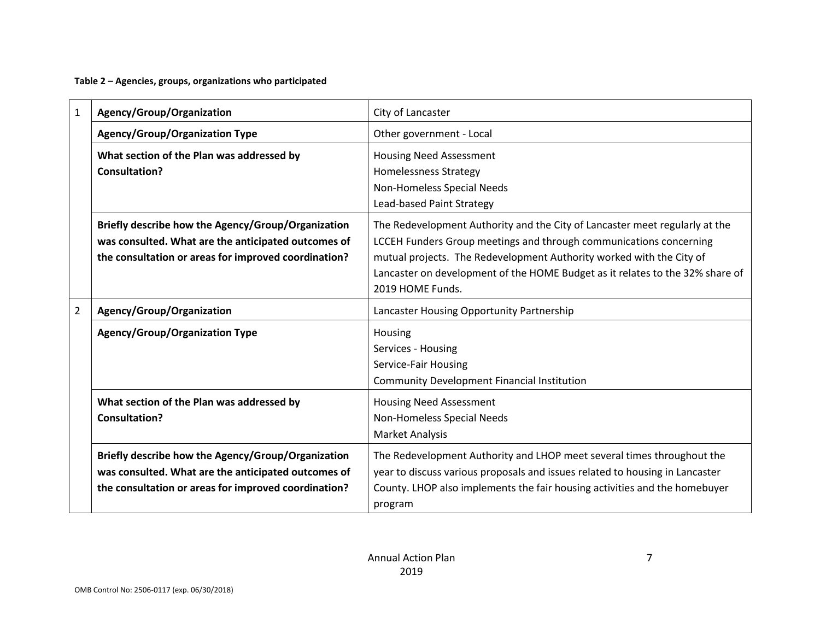**Table 2 – Agencies, groups, organizations who participated**

| $\mathbf{1}$   | Agency/Group/Organization                                                                                                                                         | City of Lancaster                                                                                                                                                                                                                                                                                                              |
|----------------|-------------------------------------------------------------------------------------------------------------------------------------------------------------------|--------------------------------------------------------------------------------------------------------------------------------------------------------------------------------------------------------------------------------------------------------------------------------------------------------------------------------|
|                | <b>Agency/Group/Organization Type</b>                                                                                                                             | Other government - Local                                                                                                                                                                                                                                                                                                       |
|                | What section of the Plan was addressed by<br><b>Consultation?</b>                                                                                                 | <b>Housing Need Assessment</b><br><b>Homelessness Strategy</b><br>Non-Homeless Special Needs<br>Lead-based Paint Strategy                                                                                                                                                                                                      |
|                | Briefly describe how the Agency/Group/Organization<br>was consulted. What are the anticipated outcomes of<br>the consultation or areas for improved coordination? | The Redevelopment Authority and the City of Lancaster meet regularly at the<br>LCCEH Funders Group meetings and through communications concerning<br>mutual projects. The Redevelopment Authority worked with the City of<br>Lancaster on development of the HOME Budget as it relates to the 32% share of<br>2019 HOME Funds. |
| $\overline{2}$ | Agency/Group/Organization                                                                                                                                         | Lancaster Housing Opportunity Partnership                                                                                                                                                                                                                                                                                      |
|                | <b>Agency/Group/Organization Type</b>                                                                                                                             | Housing<br>Services - Housing<br>Service-Fair Housing<br><b>Community Development Financial Institution</b>                                                                                                                                                                                                                    |
|                | What section of the Plan was addressed by<br><b>Consultation?</b>                                                                                                 | <b>Housing Need Assessment</b><br>Non-Homeless Special Needs<br>Market Analysis                                                                                                                                                                                                                                                |
|                | Briefly describe how the Agency/Group/Organization<br>was consulted. What are the anticipated outcomes of<br>the consultation or areas for improved coordination? | The Redevelopment Authority and LHOP meet several times throughout the<br>year to discuss various proposals and issues related to housing in Lancaster<br>County. LHOP also implements the fair housing activities and the homebuyer<br>program                                                                                |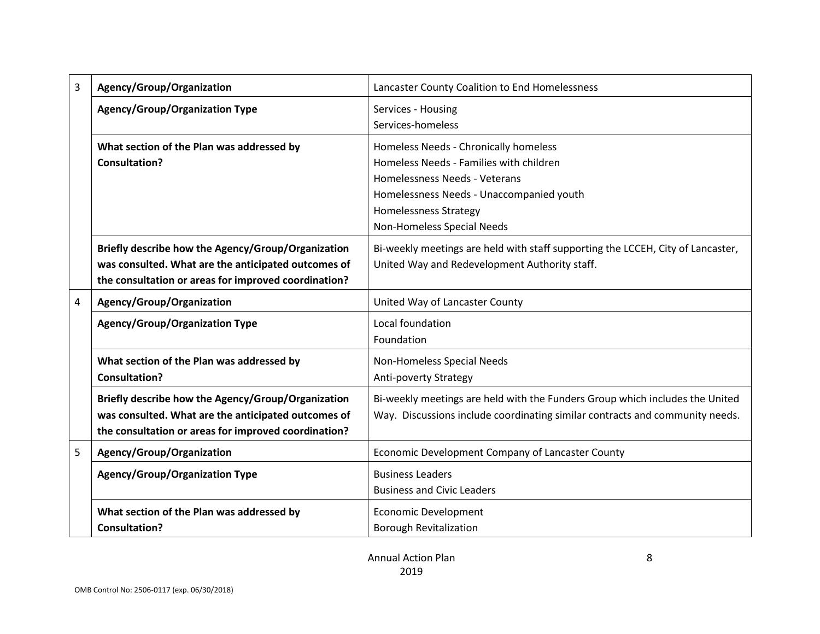| 3 | Agency/Group/Organization                            | Lancaster County Coalition to End Homelessness                                  |
|---|------------------------------------------------------|---------------------------------------------------------------------------------|
|   | <b>Agency/Group/Organization Type</b>                | Services - Housing                                                              |
|   |                                                      | Services-homeless                                                               |
|   | What section of the Plan was addressed by            | Homeless Needs - Chronically homeless                                           |
|   | <b>Consultation?</b>                                 | Homeless Needs - Families with children                                         |
|   |                                                      | Homelessness Needs - Veterans                                                   |
|   |                                                      | Homelessness Needs - Unaccompanied youth                                        |
|   |                                                      | Homelessness Strategy                                                           |
|   |                                                      | Non-Homeless Special Needs                                                      |
|   | Briefly describe how the Agency/Group/Organization   | Bi-weekly meetings are held with staff supporting the LCCEH, City of Lancaster, |
|   | was consulted. What are the anticipated outcomes of  | United Way and Redevelopment Authority staff.                                   |
|   | the consultation or areas for improved coordination? |                                                                                 |
| 4 | Agency/Group/Organization                            | United Way of Lancaster County                                                  |
|   | <b>Agency/Group/Organization Type</b>                | Local foundation                                                                |
|   |                                                      | Foundation                                                                      |
|   | What section of the Plan was addressed by            | Non-Homeless Special Needs                                                      |
|   | <b>Consultation?</b>                                 | Anti-poverty Strategy                                                           |
|   | Briefly describe how the Agency/Group/Organization   | Bi-weekly meetings are held with the Funders Group which includes the United    |
|   | was consulted. What are the anticipated outcomes of  | Way. Discussions include coordinating similar contracts and community needs.    |
|   | the consultation or areas for improved coordination? |                                                                                 |
| 5 | Agency/Group/Organization                            | Economic Development Company of Lancaster County                                |
|   | <b>Agency/Group/Organization Type</b>                | <b>Business Leaders</b>                                                         |
|   |                                                      | <b>Business and Civic Leaders</b>                                               |
|   | What section of the Plan was addressed by            | <b>Economic Development</b>                                                     |
|   | <b>Consultation?</b>                                 | <b>Borough Revitalization</b>                                                   |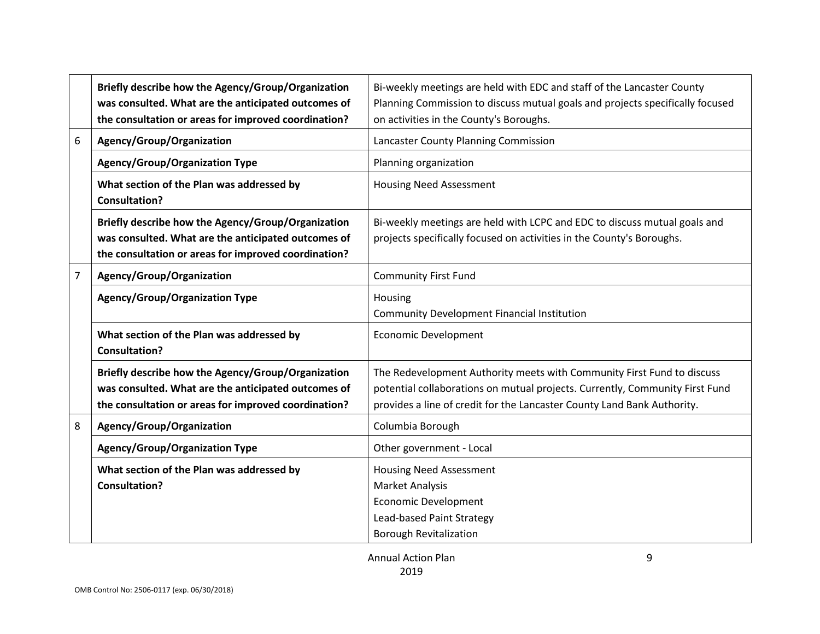| 6 | Briefly describe how the Agency/Group/Organization<br>was consulted. What are the anticipated outcomes of<br>the consultation or areas for improved coordination?<br>Agency/Group/Organization<br><b>Agency/Group/Organization Type</b><br>What section of the Plan was addressed by | Bi-weekly meetings are held with EDC and staff of the Lancaster County<br>Planning Commission to discuss mutual goals and projects specifically focused<br>on activities in the County's Boroughs.<br>Lancaster County Planning Commission<br>Planning organization<br><b>Housing Need Assessment</b> |
|---|--------------------------------------------------------------------------------------------------------------------------------------------------------------------------------------------------------------------------------------------------------------------------------------|-------------------------------------------------------------------------------------------------------------------------------------------------------------------------------------------------------------------------------------------------------------------------------------------------------|
|   | <b>Consultation?</b><br>Briefly describe how the Agency/Group/Organization<br>was consulted. What are the anticipated outcomes of<br>the consultation or areas for improved coordination?                                                                                            | Bi-weekly meetings are held with LCPC and EDC to discuss mutual goals and<br>projects specifically focused on activities in the County's Boroughs.                                                                                                                                                    |
| 7 | Agency/Group/Organization<br><b>Agency/Group/Organization Type</b>                                                                                                                                                                                                                   | <b>Community First Fund</b><br>Housing<br><b>Community Development Financial Institution</b>                                                                                                                                                                                                          |
|   | What section of the Plan was addressed by<br><b>Consultation?</b>                                                                                                                                                                                                                    | <b>Economic Development</b>                                                                                                                                                                                                                                                                           |
|   | Briefly describe how the Agency/Group/Organization<br>was consulted. What are the anticipated outcomes of<br>the consultation or areas for improved coordination?                                                                                                                    | The Redevelopment Authority meets with Community First Fund to discuss<br>potential collaborations on mutual projects. Currently, Community First Fund<br>provides a line of credit for the Lancaster County Land Bank Authority.                                                                     |
| 8 | Agency/Group/Organization                                                                                                                                                                                                                                                            | Columbia Borough                                                                                                                                                                                                                                                                                      |
|   | <b>Agency/Group/Organization Type</b>                                                                                                                                                                                                                                                | Other government - Local                                                                                                                                                                                                                                                                              |
|   | What section of the Plan was addressed by<br><b>Consultation?</b>                                                                                                                                                                                                                    | <b>Housing Need Assessment</b><br>Market Analysis<br><b>Economic Development</b><br>Lead-based Paint Strategy<br><b>Borough Revitalization</b>                                                                                                                                                        |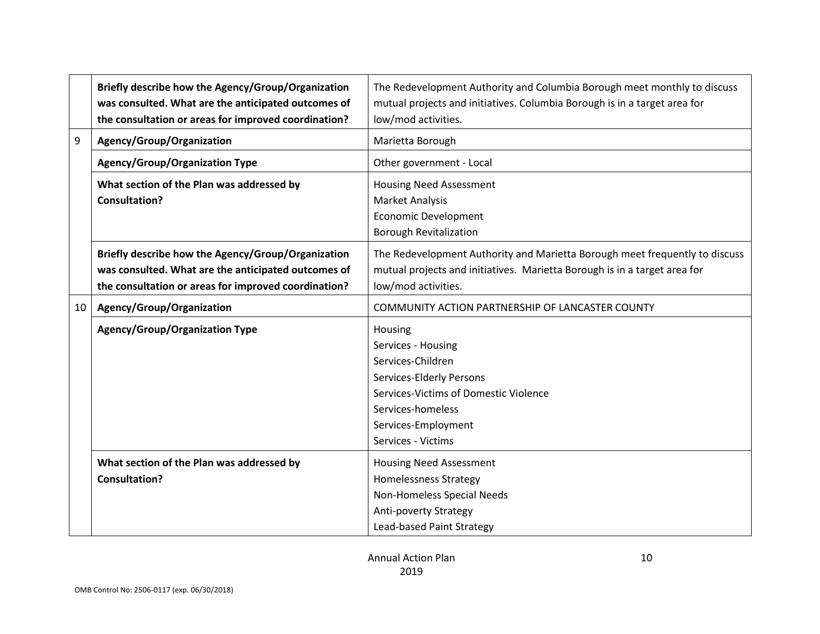| 9  | Briefly describe how the Agency/Group/Organization<br>was consulted. What are the anticipated outcomes of<br>the consultation or areas for improved coordination?<br>Agency/Group/Organization<br><b>Agency/Group/Organization Type</b><br>What section of the Plan was addressed by | The Redevelopment Authority and Columbia Borough meet monthly to discuss<br>mutual projects and initiatives. Columbia Borough is in a target area for<br>low/mod activities.<br>Marietta Borough<br>Other government - Local<br><b>Housing Need Assessment</b> |
|----|--------------------------------------------------------------------------------------------------------------------------------------------------------------------------------------------------------------------------------------------------------------------------------------|----------------------------------------------------------------------------------------------------------------------------------------------------------------------------------------------------------------------------------------------------------------|
|    | <b>Consultation?</b>                                                                                                                                                                                                                                                                 | <b>Market Analysis</b>                                                                                                                                                                                                                                         |
|    |                                                                                                                                                                                                                                                                                      | <b>Economic Development</b><br><b>Borough Revitalization</b>                                                                                                                                                                                                   |
|    | Briefly describe how the Agency/Group/Organization<br>was consulted. What are the anticipated outcomes of<br>the consultation or areas for improved coordination?                                                                                                                    | The Redevelopment Authority and Marietta Borough meet frequently to discuss<br>mutual projects and initiatives. Marietta Borough is in a target area for<br>low/mod activities.                                                                                |
| 10 | Agency/Group/Organization                                                                                                                                                                                                                                                            | COMMUNITY ACTION PARTNERSHIP OF LANCASTER COUNTY                                                                                                                                                                                                               |
|    | <b>Agency/Group/Organization Type</b>                                                                                                                                                                                                                                                | Housing<br>Services - Housing<br>Services-Children<br>Services-Elderly Persons<br>Services-Victims of Domestic Violence<br>Services-homeless<br>Services-Employment<br>Services - Victims                                                                      |
|    | What section of the Plan was addressed by<br><b>Consultation?</b>                                                                                                                                                                                                                    | <b>Housing Need Assessment</b><br><b>Homelessness Strategy</b><br>Non-Homeless Special Needs<br>Anti-poverty Strategy<br>Lead-based Paint Strategy                                                                                                             |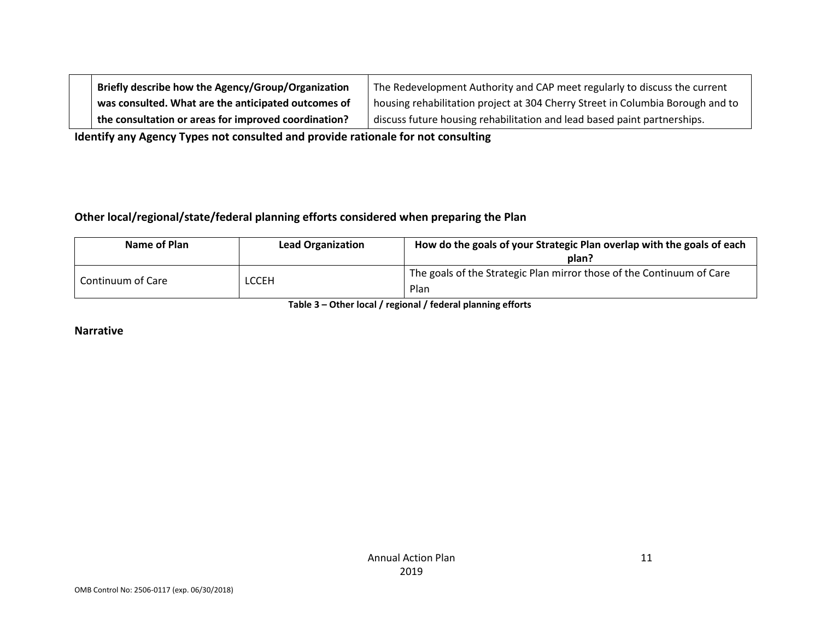| Briefly describe how the Agency/Group/Organization   | The Redevelopment Authority and CAP meet regularly to discuss the current      |
|------------------------------------------------------|--------------------------------------------------------------------------------|
| was consulted. What are the anticipated outcomes of  | housing rehabilitation project at 304 Cherry Street in Columbia Borough and to |
| the consultation or areas for improved coordination? | discuss future housing rehabilitation and lead based paint partnerships.       |

**Identify any Agency Types not consulted and provide rationale for not consulting**

#### **Other local/regional/state/federal planning efforts considered when preparing the Plan**

| Name of Plan      | <b>Lead Organization</b> | How do the goals of your Strategic Plan overlap with the goals of each<br>plan? |
|-------------------|--------------------------|---------------------------------------------------------------------------------|
| Continuum of Care | LCCEH                    | The goals of the Strategic Plan mirror those of the Continuum of Care<br>Plan   |

**Table 3 – Other local / regional / federal planning efforts**

**Narrative**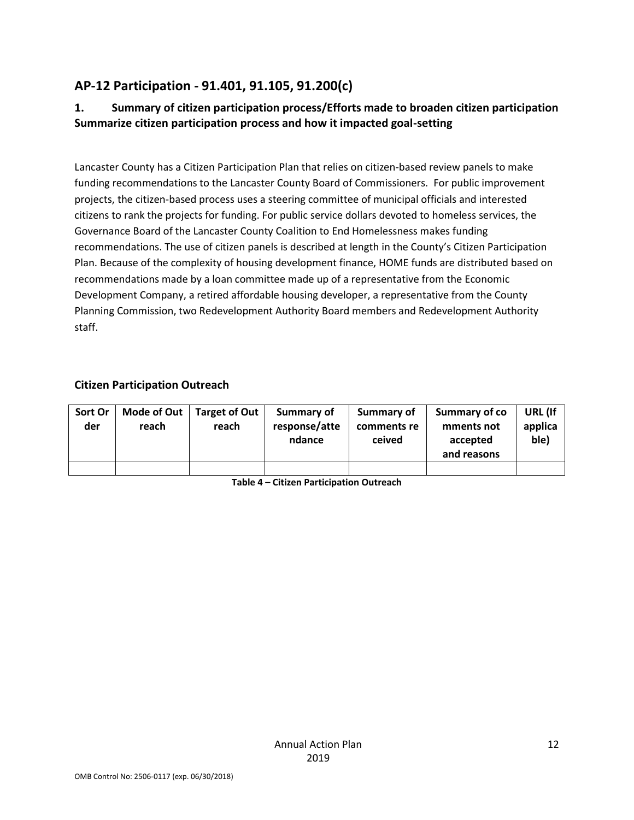## **AP-12 Participation - 91.401, 91.105, 91.200(c)**

### **1. Summary of citizen participation process/Efforts made to broaden citizen participation Summarize citizen participation process and how it impacted goal-setting**

Lancaster County has a Citizen Participation Plan that relies on citizen-based review panels to make funding recommendations to the Lancaster County Board of Commissioners. For public improvement projects, the citizen-based process uses a steering committee of municipal officials and interested citizens to rank the projects for funding. For public service dollars devoted to homeless services, the Governance Board of the Lancaster County Coalition to End Homelessness makes funding recommendations. The use of citizen panels is described at length in the County's Citizen Participation Plan. Because of the complexity of housing development finance, HOME funds are distributed based on recommendations made by a loan committee made up of a representative from the Economic Development Company, a retired affordable housing developer, a representative from the County Planning Commission, two Redevelopment Authority Board members and Redevelopment Authority staff.

#### **Citizen Participation Outreach**

| Sort Or<br>der | Mode of Out  <br>reach | Target of Out  <br>reach | Summary of<br>response/atte<br>ndance | Summary of<br>comments re<br>ceived | Summary of co<br>mments not<br>accepted<br>and reasons | URL (If<br>applica<br>ble) |
|----------------|------------------------|--------------------------|---------------------------------------|-------------------------------------|--------------------------------------------------------|----------------------------|
|                |                        |                          |                                       |                                     |                                                        |                            |

**Table 4 – Citizen Participation Outreach**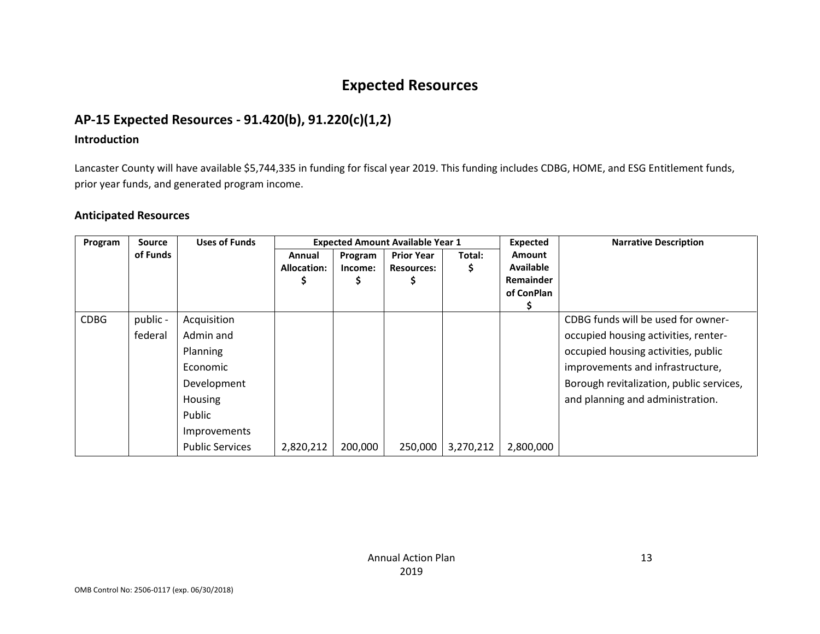## **Expected Resources**

## **AP-15 Expected Resources - 91.420(b), 91.220(c)(1,2)**

#### **Introduction**

Lancaster County will have available \$5,744,335 in funding for fiscal year 2019. This funding includes CDBG, HOME, and ESG Entitlement funds, prior year funds, and generated program income.

#### **Anticipated Resources**

| Program     | <b>Source</b>       | <b>Uses of Funds</b>                                                                                                                  | <b>Expected Amount Available Year 1</b> |                    |                                        |             | <b>Expected</b>                                       | <b>Narrative Description</b>                                                                                                                                                                                                          |
|-------------|---------------------|---------------------------------------------------------------------------------------------------------------------------------------|-----------------------------------------|--------------------|----------------------------------------|-------------|-------------------------------------------------------|---------------------------------------------------------------------------------------------------------------------------------------------------------------------------------------------------------------------------------------|
|             | of Funds            |                                                                                                                                       | Annual<br>Allocation:                   | Program<br>Income: | <b>Prior Year</b><br><b>Resources:</b> | Total:<br>Ş | Amount<br><b>Available</b><br>Remainder<br>of ConPlan |                                                                                                                                                                                                                                       |
| <b>CDBG</b> | public -<br>federal | Acquisition<br>Admin and<br>Planning<br>Economic<br>Development<br><b>Housing</b><br>Public<br>Improvements<br><b>Public Services</b> | 2,820,212                               | 200,000            | 250,000                                | 3,270,212   | 2,800,000                                             | CDBG funds will be used for owner-<br>occupied housing activities, renter-<br>occupied housing activities, public<br>improvements and infrastructure,<br>Borough revitalization, public services,<br>and planning and administration. |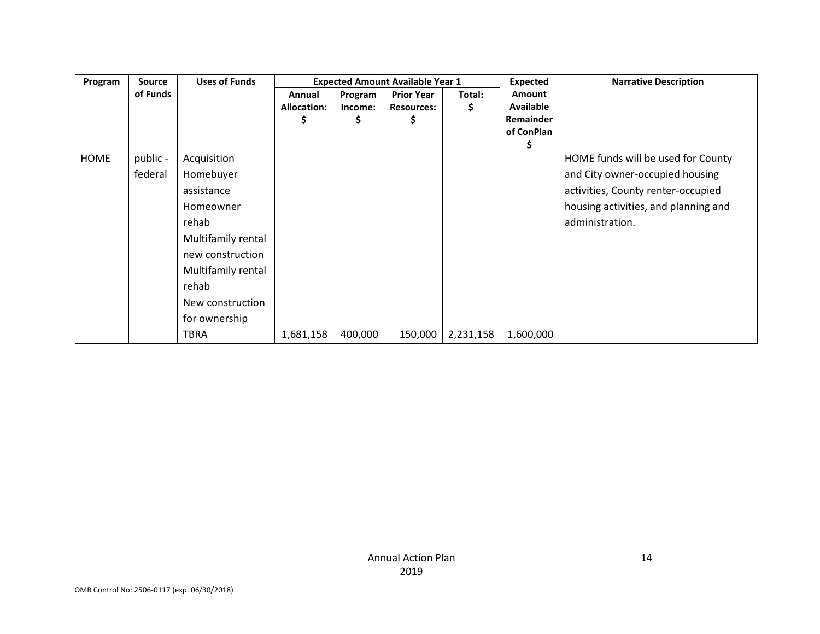| Program | <b>Uses of Funds</b><br>Source |                    |                              |                         | <b>Expected Amount Available Year 1</b> |             | <b>Expected</b>                                            | <b>Narrative Description</b>         |
|---------|--------------------------------|--------------------|------------------------------|-------------------------|-----------------------------------------|-------------|------------------------------------------------------------|--------------------------------------|
|         | of Funds                       |                    | Annual<br><b>Allocation:</b> | Program<br>Income:<br>১ | <b>Prior Year</b><br><b>Resources:</b>  | Total:<br>Ş | Amount<br>Available<br><b>Remainder</b><br>of ConPlan<br>Ş |                                      |
| HOME    | public -                       | Acquisition        |                              |                         |                                         |             |                                                            | HOME funds will be used for County   |
|         | federal                        | Homebuyer          |                              |                         |                                         |             |                                                            | and City owner-occupied housing      |
|         |                                | assistance         |                              |                         |                                         |             |                                                            | activities, County renter-occupied   |
|         |                                | Homeowner          |                              |                         |                                         |             |                                                            | housing activities, and planning and |
|         |                                | rehab              |                              |                         |                                         |             |                                                            | administration.                      |
|         |                                | Multifamily rental |                              |                         |                                         |             |                                                            |                                      |
|         |                                | new construction   |                              |                         |                                         |             |                                                            |                                      |
|         |                                | Multifamily rental |                              |                         |                                         |             |                                                            |                                      |
|         |                                | rehab              |                              |                         |                                         |             |                                                            |                                      |
|         |                                | New construction   |                              |                         |                                         |             |                                                            |                                      |
|         |                                | for ownership      |                              |                         |                                         |             |                                                            |                                      |
|         |                                | TBRA               | 1,681,158                    | 400,000                 | 150,000                                 | 2,231,158   | 1,600,000                                                  |                                      |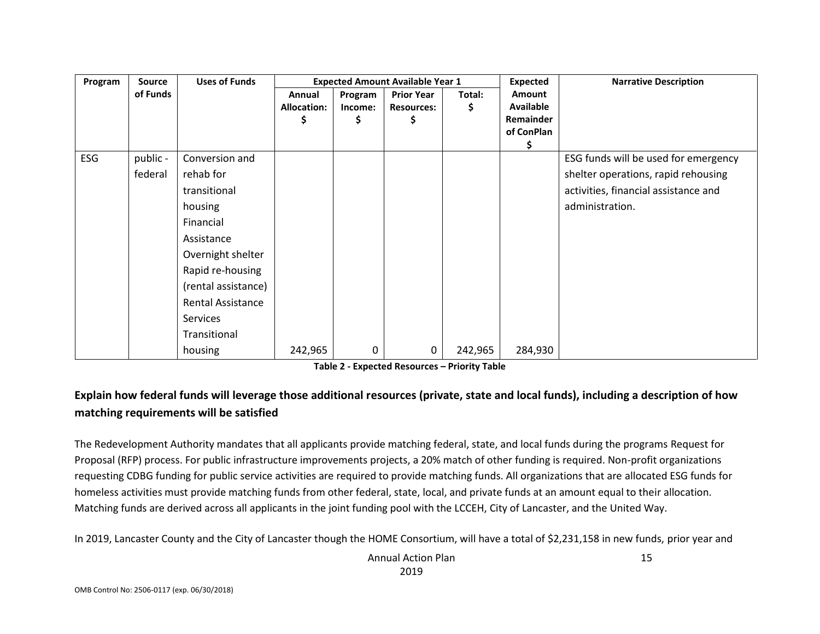| Program    | <b>Source</b> | <b>Uses of Funds</b>     | <b>Expected Amount Available Year 1</b> |         |                   | <b>Expected</b> | <b>Narrative Description</b> |                                      |
|------------|---------------|--------------------------|-----------------------------------------|---------|-------------------|-----------------|------------------------------|--------------------------------------|
|            | of Funds      |                          | Annual                                  | Program | <b>Prior Year</b> | Total:          | Amount                       |                                      |
|            |               |                          | <b>Allocation:</b>                      | Income: | <b>Resources:</b> | \$              | Available                    |                                      |
|            |               |                          |                                         | S       | S                 |                 | Remainder                    |                                      |
|            |               |                          |                                         |         |                   |                 | of ConPlan<br>S              |                                      |
| <b>ESG</b> | public -      | Conversion and           |                                         |         |                   |                 |                              | ESG funds will be used for emergency |
|            | federal       | rehab for                |                                         |         |                   |                 |                              | shelter operations, rapid rehousing  |
|            |               | transitional             |                                         |         |                   |                 |                              | activities, financial assistance and |
|            |               | housing                  |                                         |         |                   |                 |                              | administration.                      |
|            |               | Financial                |                                         |         |                   |                 |                              |                                      |
|            |               | Assistance               |                                         |         |                   |                 |                              |                                      |
|            |               | Overnight shelter        |                                         |         |                   |                 |                              |                                      |
|            |               | Rapid re-housing         |                                         |         |                   |                 |                              |                                      |
|            |               | (rental assistance)      |                                         |         |                   |                 |                              |                                      |
|            |               | <b>Rental Assistance</b> |                                         |         |                   |                 |                              |                                      |
|            |               | <b>Services</b>          |                                         |         |                   |                 |                              |                                      |
|            |               | Transitional             |                                         |         |                   |                 |                              |                                      |
|            |               | housing                  | 242,965                                 | 0       | 0                 | 242,965         | 284,930                      |                                      |

**Table 2 - Expected Resources – Priority Table**

## **Explain how federal funds will leverage those additional resources (private, state and local funds), including a description of how matching requirements will be satisfied**

The Redevelopment Authority mandates that all applicants provide matching federal, state, and local funds during the programs Request for Proposal (RFP) process. For public infrastructure improvements projects, a 20% match of other funding is required. Non-profit organizations requesting CDBG funding for public service activities are required to provide matching funds. All organizations that are allocated ESG funds for homeless activities must provide matching funds from other federal, state, local, and private funds at an amount equal to their allocation. Matching funds are derived across all applicants in the joint funding pool with the LCCEH, City of Lancaster, and the United Way.

In 2019, Lancaster County and the City of Lancaster though the HOME Consortium, will have a total of \$2,231,158 in new funds, prior year and

Annual Action Plan 2019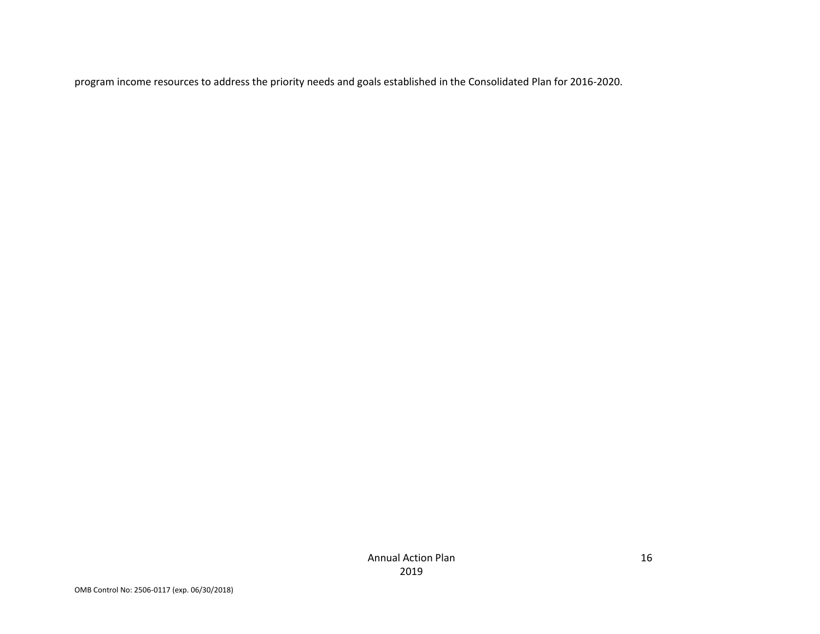program income resources to address the priority needs and goals established in the Consolidated Plan for 2016-2020.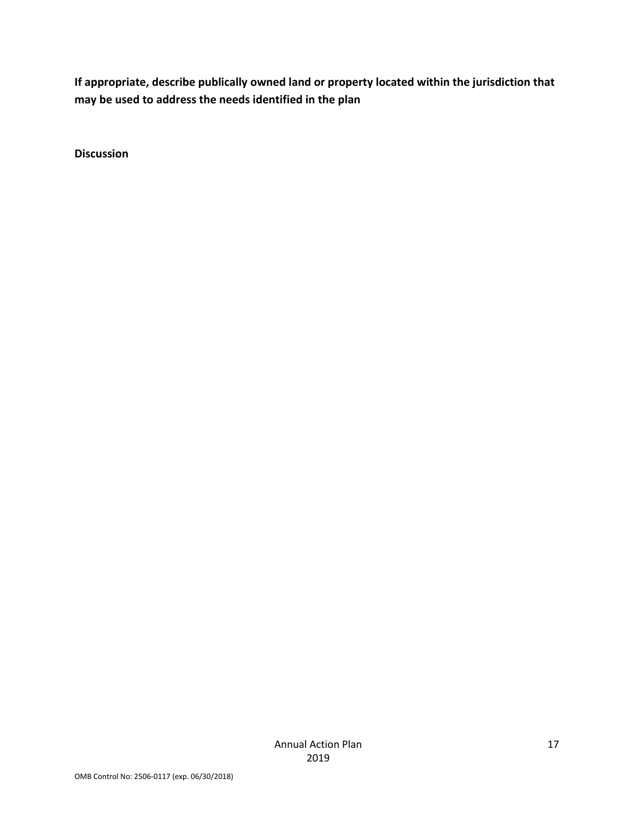**If appropriate, describe publically owned land or property located within the jurisdiction that may be used to address the needs identified in the plan**

**Discussion**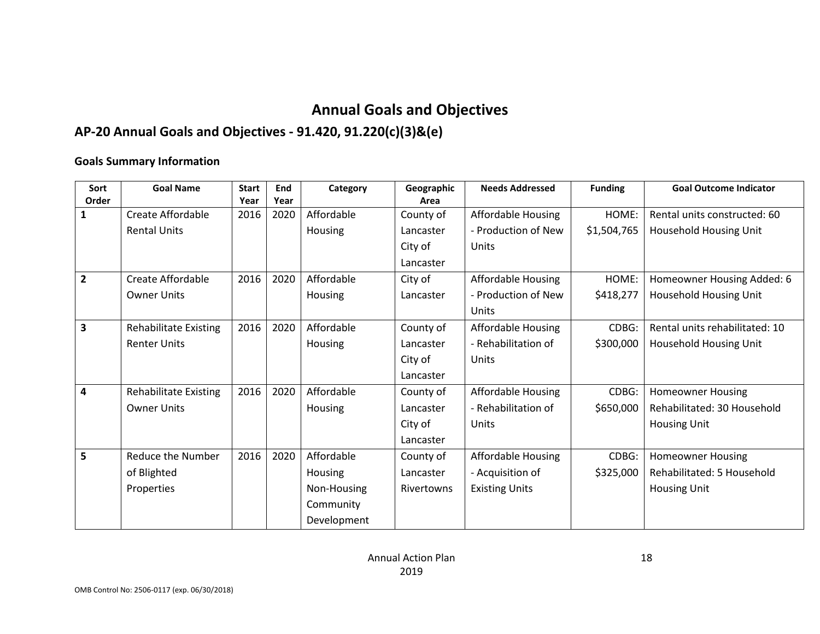## **Annual Goals and Objectives**

## **AP-20 Annual Goals and Objectives - 91.420, 91.220(c)(3)&(e)**

#### **Goals Summary Information**

| Sort           | <b>Goal Name</b>             | <b>Start</b> | End  | Category       | Geographic | <b>Needs Addressed</b>    | <b>Funding</b> | <b>Goal Outcome Indicator</b>  |
|----------------|------------------------------|--------------|------|----------------|------------|---------------------------|----------------|--------------------------------|
| Order          |                              | Year         | Year |                | Area       |                           |                |                                |
|                | <b>Create Affordable</b>     | 2016         | 2020 | Affordable     | County of  | Affordable Housing        | HOME:          | Rental units constructed: 60   |
|                | <b>Rental Units</b>          |              |      | <b>Housing</b> | Lancaster  | - Production of New       | \$1,504,765    | Household Housing Unit         |
|                |                              |              |      |                | City of    | Units                     |                |                                |
|                |                              |              |      |                | Lancaster  |                           |                |                                |
| $\overline{2}$ | Create Affordable            | 2016         | 2020 | Affordable     | City of    | Affordable Housing        | HOME:          | Homeowner Housing Added: 6     |
|                | <b>Owner Units</b>           |              |      | <b>Housing</b> | Lancaster  | - Production of New       | \$418,277      | Household Housing Unit         |
|                |                              |              |      |                |            | Units                     |                |                                |
| 3              | <b>Rehabilitate Existing</b> | 2016         | 2020 | Affordable     | County of  | <b>Affordable Housing</b> | CDBG:          | Rental units rehabilitated: 10 |
|                | <b>Renter Units</b>          |              |      | Housing        | Lancaster  | - Rehabilitation of       | \$300,000      | Household Housing Unit         |
|                |                              |              |      |                | City of    | Units                     |                |                                |
|                |                              |              |      |                | Lancaster  |                           |                |                                |
| 4              | <b>Rehabilitate Existing</b> | 2016         | 2020 | Affordable     | County of  | <b>Affordable Housing</b> | CDBG:          | <b>Homeowner Housing</b>       |
|                | <b>Owner Units</b>           |              |      | Housing        | Lancaster  | - Rehabilitation of       | \$650,000      | Rehabilitated: 30 Household    |
|                |                              |              |      |                | City of    | Units                     |                | <b>Housing Unit</b>            |
|                |                              |              |      |                | Lancaster  |                           |                |                                |
| 5              | Reduce the Number            | 2016         | 2020 | Affordable     | County of  | Affordable Housing        | CDBG:          | <b>Homeowner Housing</b>       |
|                | of Blighted                  |              |      | <b>Housing</b> | Lancaster  | - Acquisition of          | \$325,000      | Rehabilitated: 5 Household     |
|                | Properties                   |              |      | Non-Housing    | Rivertowns | <b>Existing Units</b>     |                | <b>Housing Unit</b>            |
|                |                              |              |      | Community      |            |                           |                |                                |
|                |                              |              |      | Development    |            |                           |                |                                |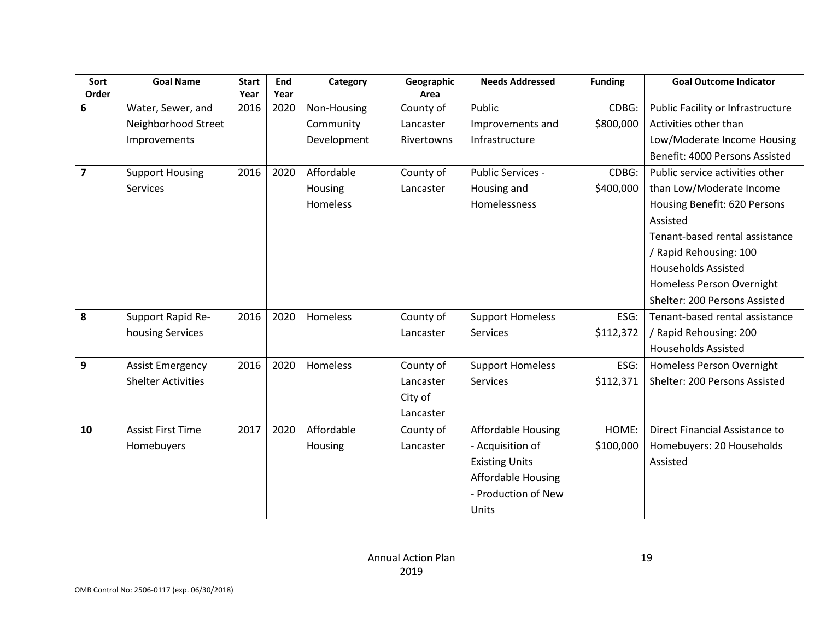| Sort           | <b>Goal Name</b>          | <b>Start</b> | End  | Category    | Geographic | <b>Needs Addressed</b>    | <b>Funding</b> | <b>Goal Outcome Indicator</b>     |
|----------------|---------------------------|--------------|------|-------------|------------|---------------------------|----------------|-----------------------------------|
| Order          |                           | Year         | Year |             | Area       |                           |                |                                   |
| 6              | Water, Sewer, and         | 2016         | 2020 | Non-Housing | County of  | Public                    | CDBG:          | Public Facility or Infrastructure |
|                | Neighborhood Street       |              |      | Community   | Lancaster  | Improvements and          | \$800,000      | Activities other than             |
|                | Improvements              |              |      | Development | Rivertowns | Infrastructure            |                | Low/Moderate Income Housing       |
|                |                           |              |      |             |            |                           |                | Benefit: 4000 Persons Assisted    |
| $\overline{7}$ | <b>Support Housing</b>    | 2016         | 2020 | Affordable  | County of  | Public Services -         | CDBG:          | Public service activities other   |
|                | <b>Services</b>           |              |      | Housing     | Lancaster  | Housing and               | \$400,000      | than Low/Moderate Income          |
|                |                           |              |      | Homeless    |            | Homelessness              |                | Housing Benefit: 620 Persons      |
|                |                           |              |      |             |            |                           |                | Assisted                          |
|                |                           |              |      |             |            |                           |                | Tenant-based rental assistance    |
|                |                           |              |      |             |            |                           |                | / Rapid Rehousing: 100            |
|                |                           |              |      |             |            |                           |                | <b>Households Assisted</b>        |
|                |                           |              |      |             |            |                           |                | Homeless Person Overnight         |
|                |                           |              |      |             |            |                           |                | Shelter: 200 Persons Assisted     |
| 8              | Support Rapid Re-         | 2016         | 2020 | Homeless    | County of  | <b>Support Homeless</b>   | ESG:           | Tenant-based rental assistance    |
|                | housing Services          |              |      |             | Lancaster  | <b>Services</b>           | \$112,372      | / Rapid Rehousing: 200            |
|                |                           |              |      |             |            |                           |                | <b>Households Assisted</b>        |
| 9              | <b>Assist Emergency</b>   | 2016         | 2020 | Homeless    | County of  | <b>Support Homeless</b>   | ESG:           | Homeless Person Overnight         |
|                | <b>Shelter Activities</b> |              |      |             | Lancaster  | <b>Services</b>           | \$112,371      | Shelter: 200 Persons Assisted     |
|                |                           |              |      |             | City of    |                           |                |                                   |
|                |                           |              |      |             | Lancaster  |                           |                |                                   |
| 10             | <b>Assist First Time</b>  | 2017         | 2020 | Affordable  | County of  | <b>Affordable Housing</b> | HOME:          | Direct Financial Assistance to    |
|                | Homebuyers                |              |      | Housing     | Lancaster  | - Acquisition of          | \$100,000      | Homebuyers: 20 Households         |
|                |                           |              |      |             |            | <b>Existing Units</b>     |                | Assisted                          |
|                |                           |              |      |             |            | Affordable Housing        |                |                                   |
|                |                           |              |      |             |            | - Production of New       |                |                                   |
|                |                           |              |      |             |            | Units                     |                |                                   |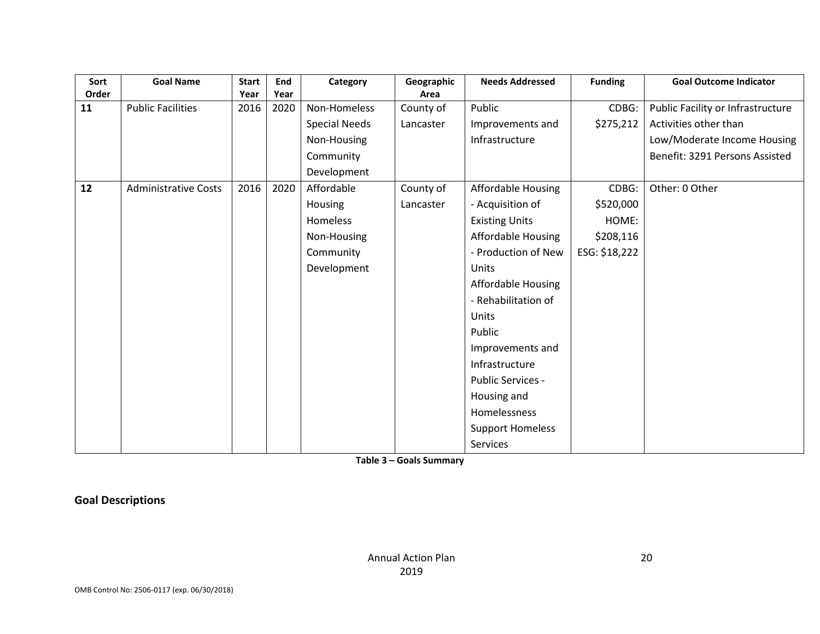| Sort  | <b>Goal Name</b>            | <b>Start</b> | End  | Category             | Geographic | <b>Needs Addressed</b>    | <b>Funding</b> | <b>Goal Outcome Indicator</b>     |
|-------|-----------------------------|--------------|------|----------------------|------------|---------------------------|----------------|-----------------------------------|
| Order |                             | Year         | Year |                      | Area       |                           |                |                                   |
| 11    | <b>Public Facilities</b>    | 2016         | 2020 | Non-Homeless         | County of  | Public                    | CDBG:          | Public Facility or Infrastructure |
|       |                             |              |      | <b>Special Needs</b> | Lancaster  | Improvements and          | \$275,212      | Activities other than             |
|       |                             |              |      | Non-Housing          |            | Infrastructure            |                | Low/Moderate Income Housing       |
|       |                             |              |      | Community            |            |                           |                | Benefit: 3291 Persons Assisted    |
|       |                             |              |      | Development          |            |                           |                |                                   |
| 12    | <b>Administrative Costs</b> | 2016         | 2020 | Affordable           | County of  | Affordable Housing        | CDBG:          | Other: 0 Other                    |
|       |                             |              |      | Housing              | Lancaster  | - Acquisition of          | \$520,000      |                                   |
|       |                             |              |      | Homeless             |            | <b>Existing Units</b>     | HOME:          |                                   |
|       |                             |              |      | Non-Housing          |            | Affordable Housing        | \$208,116      |                                   |
|       |                             |              |      | Community            |            | - Production of New       | ESG: \$18,222  |                                   |
|       |                             |              |      | Development          |            | Units                     |                |                                   |
|       |                             |              |      |                      |            | <b>Affordable Housing</b> |                |                                   |
|       |                             |              |      |                      |            | - Rehabilitation of       |                |                                   |
|       |                             |              |      |                      |            | Units                     |                |                                   |
|       |                             |              |      |                      |            | Public                    |                |                                   |
|       |                             |              |      |                      |            | Improvements and          |                |                                   |
|       |                             |              |      |                      |            | Infrastructure            |                |                                   |
|       |                             |              |      |                      |            | <b>Public Services -</b>  |                |                                   |
|       |                             |              |      |                      |            | Housing and               |                |                                   |
|       |                             |              |      |                      |            | Homelessness              |                |                                   |
|       |                             |              |      |                      |            | <b>Support Homeless</b>   |                |                                   |
|       |                             |              |      |                      |            | <b>Services</b>           |                |                                   |

**Table 3 – Goals Summary**

**Goal Descriptions**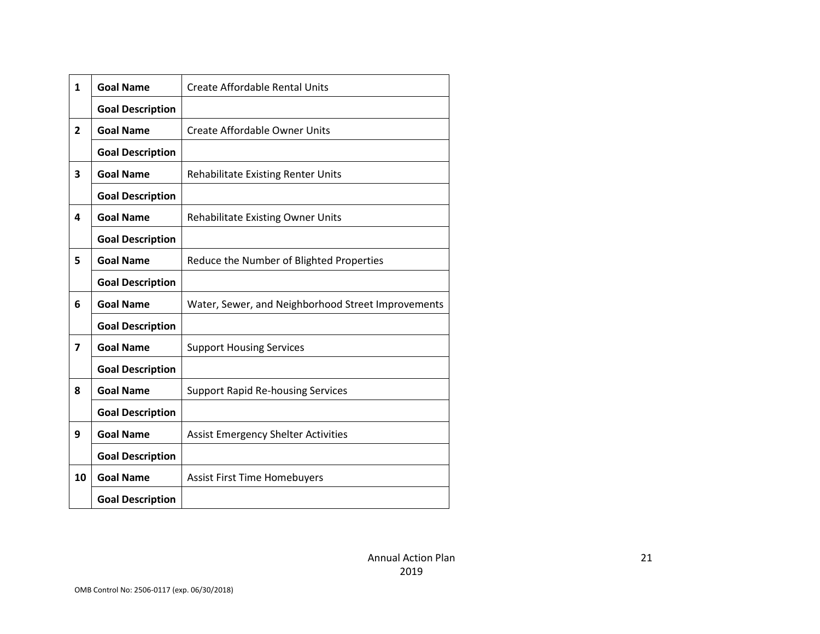| $\mathbf{1}$   | <b>Goal Name</b>        | Create Affordable Rental Units                     |
|----------------|-------------------------|----------------------------------------------------|
|                | <b>Goal Description</b> |                                                    |
| $\overline{2}$ | <b>Goal Name</b>        | <b>Create Affordable Owner Units</b>               |
|                | <b>Goal Description</b> |                                                    |
| 3              | <b>Goal Name</b>        | <b>Rehabilitate Existing Renter Units</b>          |
|                | <b>Goal Description</b> |                                                    |
| 4              | <b>Goal Name</b>        | Rehabilitate Existing Owner Units                  |
|                | <b>Goal Description</b> |                                                    |
| 5              | <b>Goal Name</b>        | Reduce the Number of Blighted Properties           |
|                | <b>Goal Description</b> |                                                    |
| 6              | <b>Goal Name</b>        | Water, Sewer, and Neighborhood Street Improvements |
|                | <b>Goal Description</b> |                                                    |
| 7              | <b>Goal Name</b>        | <b>Support Housing Services</b>                    |
|                | <b>Goal Description</b> |                                                    |
| 8              | <b>Goal Name</b>        | <b>Support Rapid Re-housing Services</b>           |
|                | <b>Goal Description</b> |                                                    |
| 9              | <b>Goal Name</b>        | <b>Assist Emergency Shelter Activities</b>         |
|                | <b>Goal Description</b> |                                                    |
| 10             | <b>Goal Name</b>        | <b>Assist First Time Homebuyers</b>                |
|                | <b>Goal Description</b> |                                                    |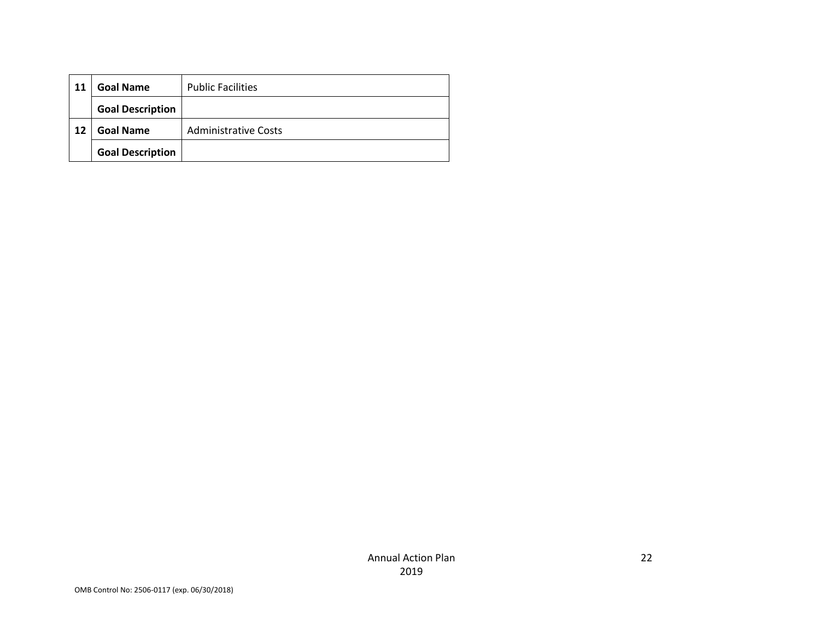| 11 | <b>Goal Name</b>        | <b>Public Facilities</b>    |
|----|-------------------------|-----------------------------|
|    | <b>Goal Description</b> |                             |
| 12 | <b>Goal Name</b>        | <b>Administrative Costs</b> |
|    | <b>Goal Description</b> |                             |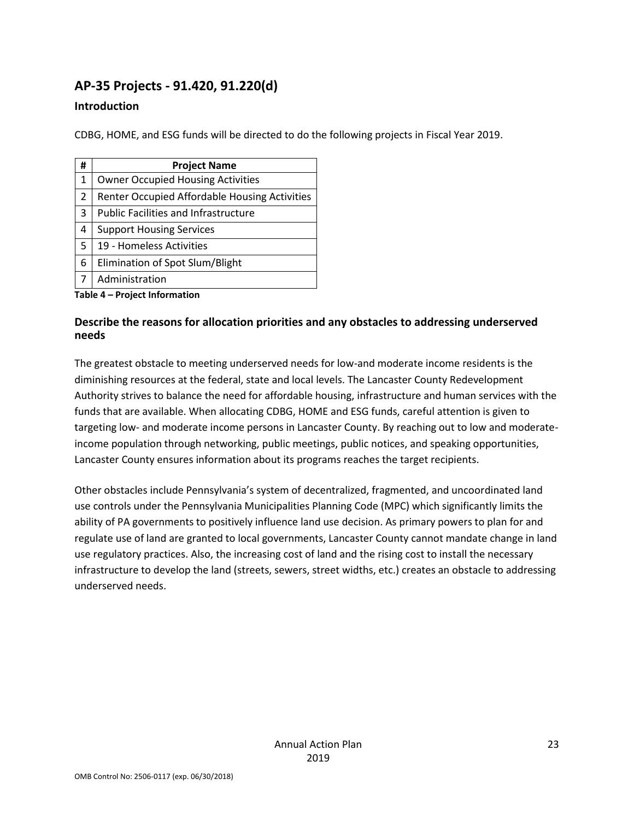## **AP-35 Projects - 91.420, 91.220(d)**

#### **Introduction**

CDBG, HOME, and ESG funds will be directed to do the following projects in Fiscal Year 2019.

| # | <b>Project Name</b>                           |
|---|-----------------------------------------------|
| 1 | <b>Owner Occupied Housing Activities</b>      |
| 2 | Renter Occupied Affordable Housing Activities |
| 3 | <b>Public Facilities and Infrastructure</b>   |
| 4 | <b>Support Housing Services</b>               |
| 5 | 19 - Homeless Activities                      |
| 6 | Elimination of Spot Slum/Blight               |
|   | Administration                                |

**Table 4 – Project Information**

#### **Describe the reasons for allocation priorities and any obstacles to addressing underserved needs**

The greatest obstacle to meeting underserved needs for low-and moderate income residents is the diminishing resources at the federal, state and local levels. The Lancaster County Redevelopment Authority strives to balance the need for affordable housing, infrastructure and human services with the funds that are available. When allocating CDBG, HOME and ESG funds, careful attention is given to targeting low- and moderate income persons in Lancaster County. By reaching out to low and moderateincome population through networking, public meetings, public notices, and speaking opportunities, Lancaster County ensures information about its programs reaches the target recipients.

Other obstacles include Pennsylvania's system of decentralized, fragmented, and uncoordinated land use controls under the Pennsylvania Municipalities Planning Code (MPC) which significantly limits the ability of PA governments to positively influence land use decision. As primary powers to plan for and regulate use of land are granted to local governments, Lancaster County cannot mandate change in land use regulatory practices. Also, the increasing cost of land and the rising cost to install the necessary infrastructure to develop the land (streets, sewers, street widths, etc.) creates an obstacle to addressing underserved needs.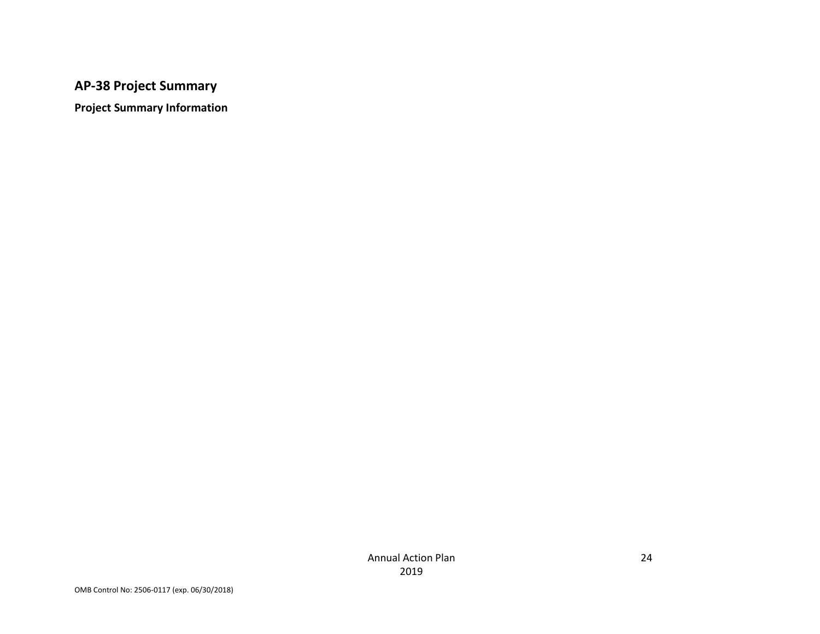## **AP-38 Project Summary**

**Project Summary Information**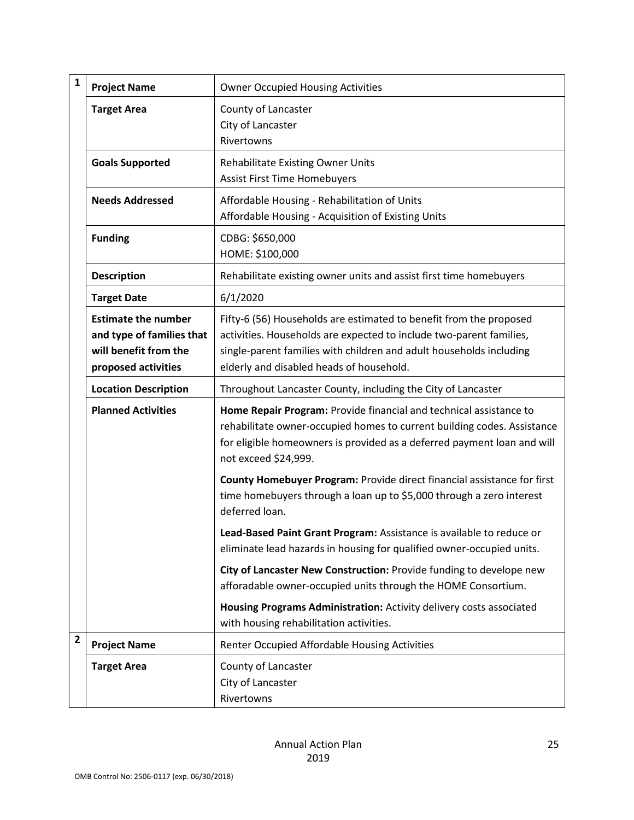| $\mathbf{1}$   | <b>Project Name</b>                                                                                     | <b>Owner Occupied Housing Activities</b>                                                                                                                                                                                                                     |
|----------------|---------------------------------------------------------------------------------------------------------|--------------------------------------------------------------------------------------------------------------------------------------------------------------------------------------------------------------------------------------------------------------|
|                | <b>Target Area</b>                                                                                      | County of Lancaster<br>City of Lancaster<br>Rivertowns                                                                                                                                                                                                       |
|                | <b>Goals Supported</b>                                                                                  | <b>Rehabilitate Existing Owner Units</b><br><b>Assist First Time Homebuyers</b>                                                                                                                                                                              |
|                | <b>Needs Addressed</b>                                                                                  | Affordable Housing - Rehabilitation of Units<br>Affordable Housing - Acquisition of Existing Units                                                                                                                                                           |
|                | <b>Funding</b>                                                                                          | CDBG: \$650,000<br>HOME: \$100,000                                                                                                                                                                                                                           |
|                | <b>Description</b>                                                                                      | Rehabilitate existing owner units and assist first time homebuyers                                                                                                                                                                                           |
|                | <b>Target Date</b>                                                                                      | 6/1/2020                                                                                                                                                                                                                                                     |
|                | <b>Estimate the number</b><br>and type of families that<br>will benefit from the<br>proposed activities | Fifty-6 (56) Households are estimated to benefit from the proposed<br>activities. Households are expected to include two-parent families,<br>single-parent families with children and adult households including<br>elderly and disabled heads of household. |
|                | <b>Location Description</b>                                                                             | Throughout Lancaster County, including the City of Lancaster                                                                                                                                                                                                 |
|                | <b>Planned Activities</b>                                                                               | Home Repair Program: Provide financial and technical assistance to<br>rehabilitate owner-occupied homes to current building codes. Assistance<br>for eligible homeowners is provided as a deferred payment loan and will<br>not exceed \$24,999.             |
|                |                                                                                                         | County Homebuyer Program: Provide direct financial assistance for first<br>time homebuyers through a loan up to \$5,000 through a zero interest<br>deferred loan.                                                                                            |
|                |                                                                                                         | Lead-Based Paint Grant Program: Assistance is available to reduce or<br>eliminate lead hazards in housing for qualified owner-occupied units.                                                                                                                |
|                |                                                                                                         | City of Lancaster New Construction: Provide funding to develope new<br>afforadable owner-occupied units through the HOME Consortium.                                                                                                                         |
|                |                                                                                                         | Housing Programs Administration: Activity delivery costs associated<br>with housing rehabilitation activities.                                                                                                                                               |
| $\overline{2}$ | <b>Project Name</b>                                                                                     | Renter Occupied Affordable Housing Activities                                                                                                                                                                                                                |
|                | <b>Target Area</b>                                                                                      | County of Lancaster<br>City of Lancaster<br>Rivertowns                                                                                                                                                                                                       |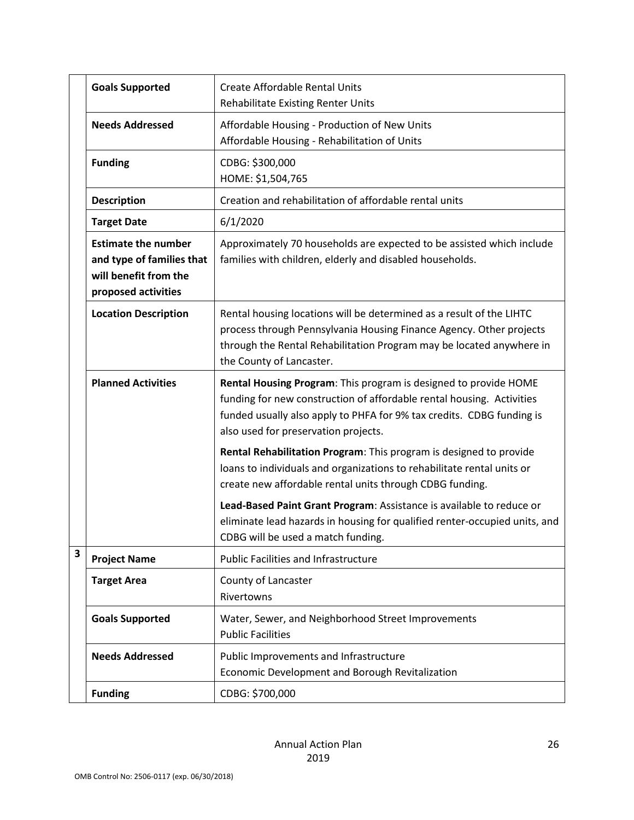|   | <b>Goals Supported</b>                                                                                  | <b>Create Affordable Rental Units</b><br>Rehabilitate Existing Renter Units                                                                                                                                                                                |
|---|---------------------------------------------------------------------------------------------------------|------------------------------------------------------------------------------------------------------------------------------------------------------------------------------------------------------------------------------------------------------------|
|   | <b>Needs Addressed</b>                                                                                  | Affordable Housing - Production of New Units<br>Affordable Housing - Rehabilitation of Units                                                                                                                                                               |
|   | <b>Funding</b>                                                                                          | CDBG: \$300,000<br>HOME: \$1,504,765                                                                                                                                                                                                                       |
|   | <b>Description</b>                                                                                      | Creation and rehabilitation of affordable rental units                                                                                                                                                                                                     |
|   | <b>Target Date</b>                                                                                      | 6/1/2020                                                                                                                                                                                                                                                   |
|   | <b>Estimate the number</b><br>and type of families that<br>will benefit from the<br>proposed activities | Approximately 70 households are expected to be assisted which include<br>families with children, elderly and disabled households.                                                                                                                          |
|   | <b>Location Description</b>                                                                             | Rental housing locations will be determined as a result of the LIHTC<br>process through Pennsylvania Housing Finance Agency. Other projects<br>through the Rental Rehabilitation Program may be located anywhere in<br>the County of Lancaster.            |
|   | <b>Planned Activities</b>                                                                               | Rental Housing Program: This program is designed to provide HOME<br>funding for new construction of affordable rental housing. Activities<br>funded usually also apply to PHFA for 9% tax credits. CDBG funding is<br>also used for preservation projects. |
|   |                                                                                                         | Rental Rehabilitation Program: This program is designed to provide<br>loans to individuals and organizations to rehabilitate rental units or<br>create new affordable rental units through CDBG funding.                                                   |
|   |                                                                                                         | Lead-Based Paint Grant Program: Assistance is available to reduce or<br>eliminate lead hazards in housing for qualified renter-occupied units, and<br>CDBG will be used a match funding.                                                                   |
| 3 | <b>Project Name</b>                                                                                     | <b>Public Facilities and Infrastructure</b>                                                                                                                                                                                                                |
|   | <b>Target Area</b>                                                                                      | County of Lancaster<br>Rivertowns                                                                                                                                                                                                                          |
|   | <b>Goals Supported</b>                                                                                  | Water, Sewer, and Neighborhood Street Improvements<br><b>Public Facilities</b>                                                                                                                                                                             |
|   | <b>Needs Addressed</b>                                                                                  | Public Improvements and Infrastructure<br>Economic Development and Borough Revitalization                                                                                                                                                                  |
|   | <b>Funding</b>                                                                                          | CDBG: \$700,000                                                                                                                                                                                                                                            |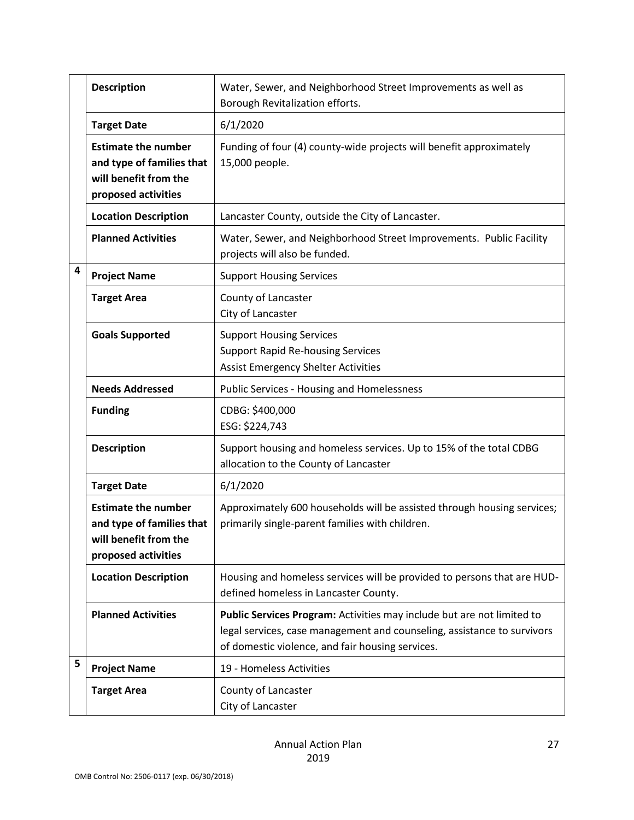|   | <b>Description</b>                                                                                      | Water, Sewer, and Neighborhood Street Improvements as well as<br>Borough Revitalization efforts.                                                                                                      |
|---|---------------------------------------------------------------------------------------------------------|-------------------------------------------------------------------------------------------------------------------------------------------------------------------------------------------------------|
|   | <b>Target Date</b>                                                                                      | 6/1/2020                                                                                                                                                                                              |
|   | <b>Estimate the number</b><br>and type of families that<br>will benefit from the<br>proposed activities | Funding of four (4) county-wide projects will benefit approximately<br>15,000 people.                                                                                                                 |
|   | <b>Location Description</b>                                                                             | Lancaster County, outside the City of Lancaster.                                                                                                                                                      |
|   | <b>Planned Activities</b>                                                                               | Water, Sewer, and Neighborhood Street Improvements. Public Facility<br>projects will also be funded.                                                                                                  |
| 4 | <b>Project Name</b>                                                                                     | <b>Support Housing Services</b>                                                                                                                                                                       |
|   | <b>Target Area</b>                                                                                      | County of Lancaster<br>City of Lancaster                                                                                                                                                              |
|   | <b>Goals Supported</b>                                                                                  | <b>Support Housing Services</b><br><b>Support Rapid Re-housing Services</b><br><b>Assist Emergency Shelter Activities</b>                                                                             |
|   | <b>Needs Addressed</b>                                                                                  | <b>Public Services - Housing and Homelessness</b>                                                                                                                                                     |
|   | <b>Funding</b>                                                                                          | CDBG: \$400,000<br>ESG: \$224,743                                                                                                                                                                     |
|   | <b>Description</b>                                                                                      | Support housing and homeless services. Up to 15% of the total CDBG<br>allocation to the County of Lancaster                                                                                           |
|   | <b>Target Date</b>                                                                                      | 6/1/2020                                                                                                                                                                                              |
|   | <b>Estimate the number</b><br>and type of families that<br>will benefit from the<br>proposed activities | Approximately 600 households will be assisted through housing services;<br>primarily single-parent families with children.                                                                            |
|   | <b>Location Description</b>                                                                             | Housing and homeless services will be provided to persons that are HUD-<br>defined homeless in Lancaster County.                                                                                      |
|   | <b>Planned Activities</b>                                                                               | Public Services Program: Activities may include but are not limited to<br>legal services, case management and counseling, assistance to survivors<br>of domestic violence, and fair housing services. |
| 5 | <b>Project Name</b>                                                                                     | 19 - Homeless Activities                                                                                                                                                                              |
|   | <b>Target Area</b>                                                                                      | County of Lancaster<br>City of Lancaster                                                                                                                                                              |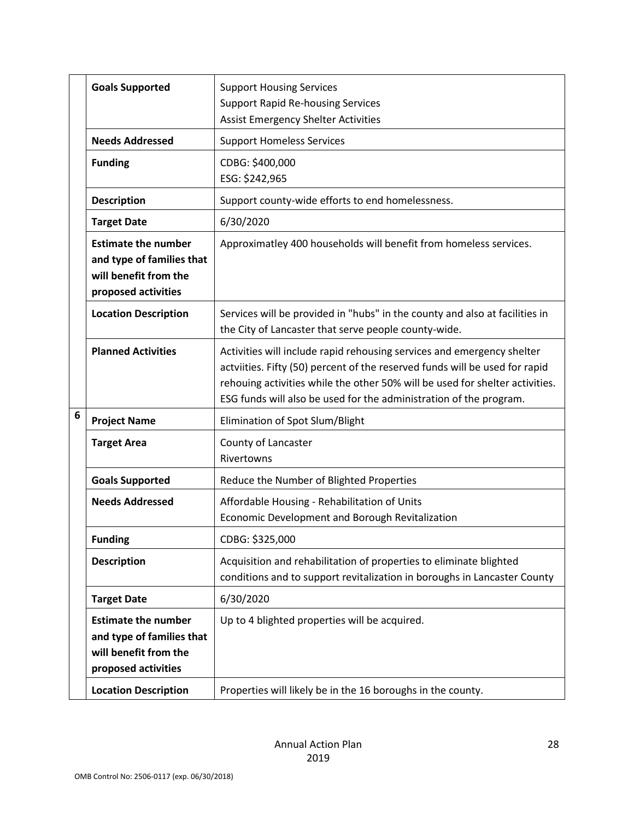|   | <b>Goals Supported</b>                                                                                  | <b>Support Housing Services</b><br><b>Support Rapid Re-housing Services</b><br><b>Assist Emergency Shelter Activities</b>                                                                                                                                                                                   |
|---|---------------------------------------------------------------------------------------------------------|-------------------------------------------------------------------------------------------------------------------------------------------------------------------------------------------------------------------------------------------------------------------------------------------------------------|
|   | <b>Needs Addressed</b>                                                                                  | <b>Support Homeless Services</b>                                                                                                                                                                                                                                                                            |
|   | <b>Funding</b>                                                                                          | CDBG: \$400,000<br>ESG: \$242,965                                                                                                                                                                                                                                                                           |
|   | <b>Description</b>                                                                                      | Support county-wide efforts to end homelessness.                                                                                                                                                                                                                                                            |
|   | <b>Target Date</b>                                                                                      | 6/30/2020                                                                                                                                                                                                                                                                                                   |
|   | <b>Estimate the number</b><br>and type of families that<br>will benefit from the<br>proposed activities | Approximatley 400 households will benefit from homeless services.                                                                                                                                                                                                                                           |
|   | <b>Location Description</b>                                                                             | Services will be provided in "hubs" in the county and also at facilities in<br>the City of Lancaster that serve people county-wide.                                                                                                                                                                         |
|   | <b>Planned Activities</b>                                                                               | Activities will include rapid rehousing services and emergency shelter<br>actviities. Fifty (50) percent of the reserved funds will be used for rapid<br>rehouing activities while the other 50% will be used for shelter activities.<br>ESG funds will also be used for the administration of the program. |
| 6 | <b>Project Name</b>                                                                                     | Elimination of Spot Slum/Blight                                                                                                                                                                                                                                                                             |
|   | <b>Target Area</b>                                                                                      | County of Lancaster<br>Rivertowns                                                                                                                                                                                                                                                                           |
|   | <b>Goals Supported</b>                                                                                  | Reduce the Number of Blighted Properties                                                                                                                                                                                                                                                                    |
|   | <b>Needs Addressed</b>                                                                                  | Affordable Housing - Rehabilitation of Units<br>Economic Development and Borough Revitalization                                                                                                                                                                                                             |
|   | <b>Funding</b>                                                                                          | CDBG: \$325,000                                                                                                                                                                                                                                                                                             |
|   | <b>Description</b>                                                                                      | Acquisition and rehabilitation of properties to eliminate blighted<br>conditions and to support revitalization in boroughs in Lancaster County                                                                                                                                                              |
|   | <b>Target Date</b>                                                                                      | 6/30/2020                                                                                                                                                                                                                                                                                                   |
|   | <b>Estimate the number</b><br>and type of families that<br>will benefit from the<br>proposed activities | Up to 4 blighted properties will be acquired.                                                                                                                                                                                                                                                               |
|   | <b>Location Description</b>                                                                             | Properties will likely be in the 16 boroughs in the county.                                                                                                                                                                                                                                                 |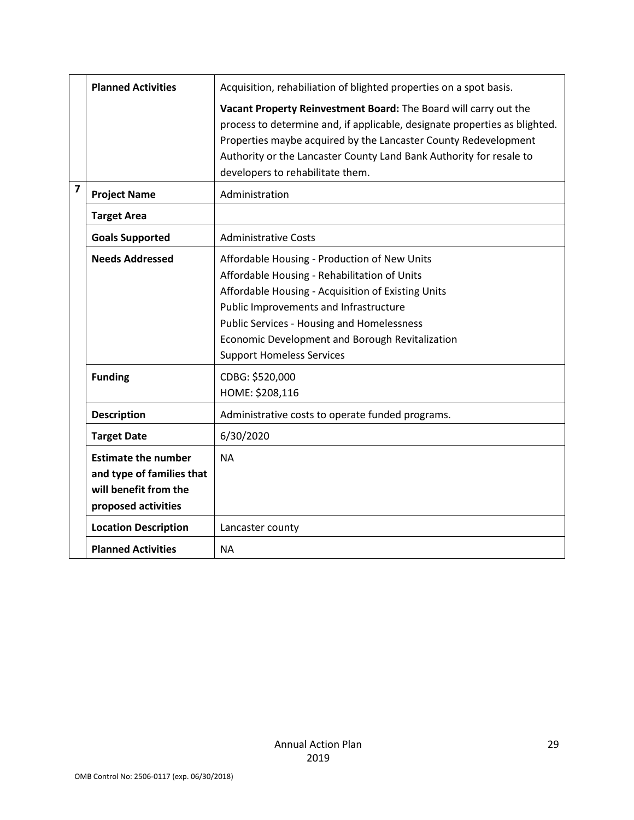|                | <b>Planned Activities</b>                                                                               | Acquisition, rehabiliation of blighted properties on a spot basis.<br>Vacant Property Reinvestment Board: The Board will carry out the<br>process to determine and, if applicable, designate properties as blighted.<br>Properties maybe acquired by the Lancaster County Redevelopment<br>Authority or the Lancaster County Land Bank Authority for resale to |
|----------------|---------------------------------------------------------------------------------------------------------|----------------------------------------------------------------------------------------------------------------------------------------------------------------------------------------------------------------------------------------------------------------------------------------------------------------------------------------------------------------|
|                |                                                                                                         | developers to rehabilitate them.                                                                                                                                                                                                                                                                                                                               |
| $\overline{7}$ | <b>Project Name</b>                                                                                     | Administration                                                                                                                                                                                                                                                                                                                                                 |
|                | <b>Target Area</b>                                                                                      |                                                                                                                                                                                                                                                                                                                                                                |
|                | <b>Goals Supported</b>                                                                                  | <b>Administrative Costs</b>                                                                                                                                                                                                                                                                                                                                    |
|                | <b>Needs Addressed</b>                                                                                  | Affordable Housing - Production of New Units<br>Affordable Housing - Rehabilitation of Units<br>Affordable Housing - Acquisition of Existing Units<br>Public Improvements and Infrastructure<br><b>Public Services - Housing and Homelessness</b><br>Economic Development and Borough Revitalization<br><b>Support Homeless Services</b>                       |
|                | <b>Funding</b>                                                                                          | CDBG: \$520,000<br>HOME: \$208,116                                                                                                                                                                                                                                                                                                                             |
|                | <b>Description</b>                                                                                      | Administrative costs to operate funded programs.                                                                                                                                                                                                                                                                                                               |
|                | <b>Target Date</b>                                                                                      | 6/30/2020                                                                                                                                                                                                                                                                                                                                                      |
|                | <b>Estimate the number</b><br>and type of families that<br>will benefit from the<br>proposed activities | <b>NA</b>                                                                                                                                                                                                                                                                                                                                                      |
|                | <b>Location Description</b>                                                                             | Lancaster county                                                                                                                                                                                                                                                                                                                                               |
|                | <b>Planned Activities</b>                                                                               | NА                                                                                                                                                                                                                                                                                                                                                             |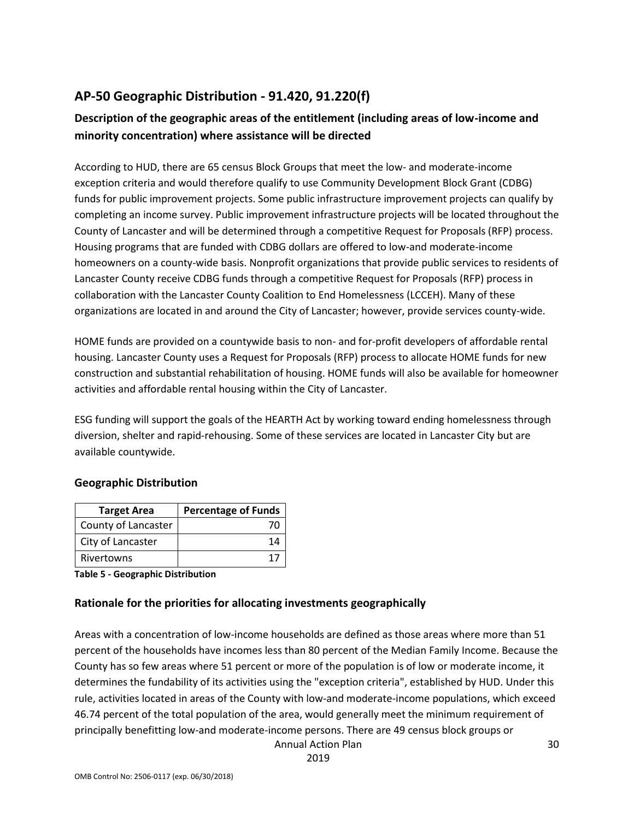## **AP-50 Geographic Distribution - 91.420, 91.220(f)**

## **Description of the geographic areas of the entitlement (including areas of low-income and minority concentration) where assistance will be directed**

According to HUD, there are 65 census Block Groups that meet the low- and moderate-income exception criteria and would therefore qualify to use Community Development Block Grant (CDBG) funds for public improvement projects. Some public infrastructure improvement projects can qualify by completing an income survey. Public improvement infrastructure projects will be located throughout the County of Lancaster and will be determined through a competitive Request for Proposals (RFP) process. Housing programs that are funded with CDBG dollars are offered to low-and moderate-income homeowners on a county-wide basis. Nonprofit organizations that provide public services to residents of Lancaster County receive CDBG funds through a competitive Request for Proposals (RFP) process in collaboration with the Lancaster County Coalition to End Homelessness (LCCEH). Many of these organizations are located in and around the City of Lancaster; however, provide services county-wide.

HOME funds are provided on a countywide basis to non- and for-profit developers of affordable rental housing. Lancaster County uses a Request for Proposals (RFP) process to allocate HOME funds for new construction and substantial rehabilitation of housing. HOME funds will also be available for homeowner activities and affordable rental housing within the City of Lancaster.

ESG funding will support the goals of the HEARTH Act by working toward ending homelessness through diversion, shelter and rapid-rehousing. Some of these services are located in Lancaster City but are available countywide.

#### **Geographic Distribution**

| <b>Target Area</b>  | <b>Percentage of Funds</b> |
|---------------------|----------------------------|
| County of Lancaster |                            |
| City of Lancaster   | 14                         |
| Rivertowns          | 1.                         |

**Table 5 - Geographic Distribution** 

#### **Rationale for the priorities for allocating investments geographically**

Areas with a concentration of low-income households are defined as those areas where more than 51 percent of the households have incomes less than 80 percent of the Median Family Income. Because the County has so few areas where 51 percent or more of the population is of low or moderate income, it determines the fundability of its activities using the "exception criteria", established by HUD. Under this rule, activities located in areas of the County with low-and moderate-income populations, which exceed 46.74 percent of the total population of the area, would generally meet the minimum requirement of principally benefitting low-and moderate-income persons. There are 49 census block groups or

Annual Action Plan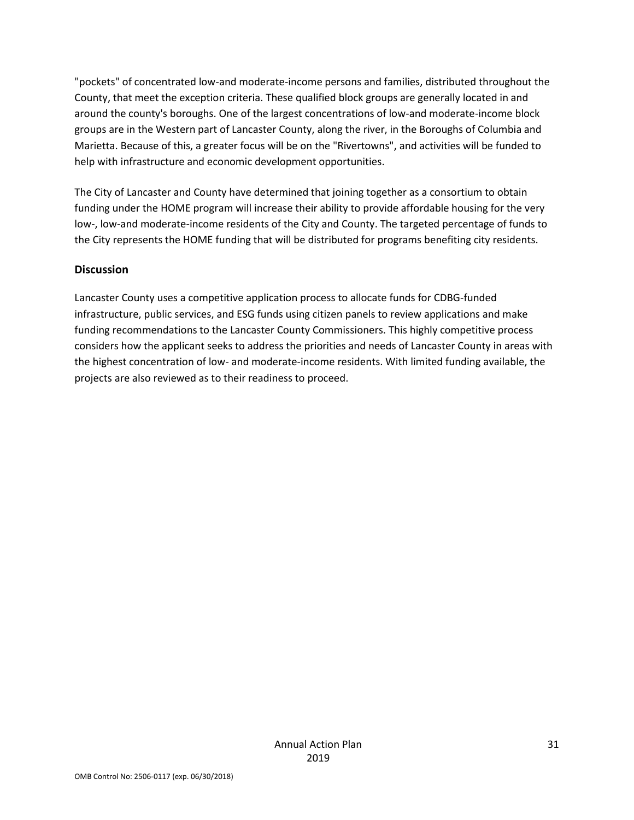"pockets" of concentrated low-and moderate-income persons and families, distributed throughout the County, that meet the exception criteria. These qualified block groups are generally located in and around the county's boroughs. One of the largest concentrations of low-and moderate-income block groups are in the Western part of Lancaster County, along the river, in the Boroughs of Columbia and Marietta. Because of this, a greater focus will be on the "Rivertowns", and activities will be funded to help with infrastructure and economic development opportunities.

The City of Lancaster and County have determined that joining together as a consortium to obtain funding under the HOME program will increase their ability to provide affordable housing for the very low-, low-and moderate-income residents of the City and County. The targeted percentage of funds to the City represents the HOME funding that will be distributed for programs benefiting city residents.

#### **Discussion**

Lancaster County uses a competitive application process to allocate funds for CDBG-funded infrastructure, public services, and ESG funds using citizen panels to review applications and make funding recommendations to the Lancaster County Commissioners. This highly competitive process considers how the applicant seeks to address the priorities and needs of Lancaster County in areas with the highest concentration of low- and moderate-income residents. With limited funding available, the projects are also reviewed as to their readiness to proceed.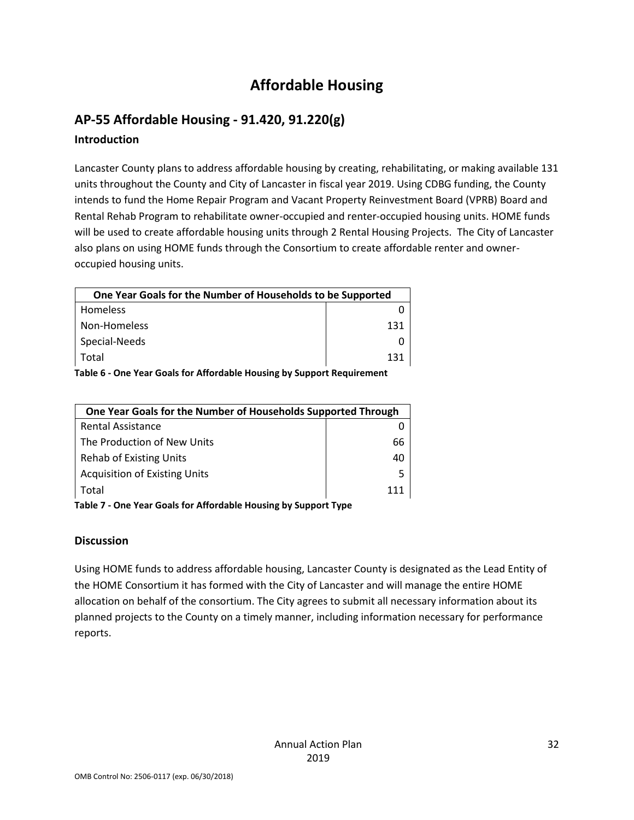## **Affordable Housing**

## **AP-55 Affordable Housing - 91.420, 91.220(g) Introduction**

Lancaster County plans to address affordable housing by creating, rehabilitating, or making available 131 units throughout the County and City of Lancaster in fiscal year 2019. Using CDBG funding, the County intends to fund the Home Repair Program and Vacant Property Reinvestment Board (VPRB) Board and Rental Rehab Program to rehabilitate owner-occupied and renter-occupied housing units. HOME funds will be used to create affordable housing units through 2 Rental Housing Projects. The City of Lancaster also plans on using HOME funds through the Consortium to create affordable renter and owneroccupied housing units.

| One Year Goals for the Number of Households to be Supported |     |  |  |
|-------------------------------------------------------------|-----|--|--|
| Homeless                                                    |     |  |  |
| Non-Homeless                                                | 131 |  |  |
| Special-Needs                                               |     |  |  |
| Total                                                       | 131 |  |  |
|                                                             |     |  |  |

**Table 6 - One Year Goals for Affordable Housing by Support Requirement**

| One Year Goals for the Number of Households Supported Through   |     |
|-----------------------------------------------------------------|-----|
| <b>Rental Assistance</b>                                        |     |
| The Production of New Units                                     | 66  |
| <b>Rehab of Existing Units</b>                                  | 40  |
| <b>Acquisition of Existing Units</b>                            |     |
| Total                                                           | 111 |
| Table 7 - One Vear Goals for Affordable Housing by Sunnert Type |     |

**Table 7 - One Year Goals for Affordable Housing by Support Type**

#### **Discussion**

Using HOME funds to address affordable housing, Lancaster County is designated as the Lead Entity of the HOME Consortium it has formed with the City of Lancaster and will manage the entire HOME allocation on behalf of the consortium. The City agrees to submit all necessary information about its planned projects to the County on a timely manner, including information necessary for performance reports.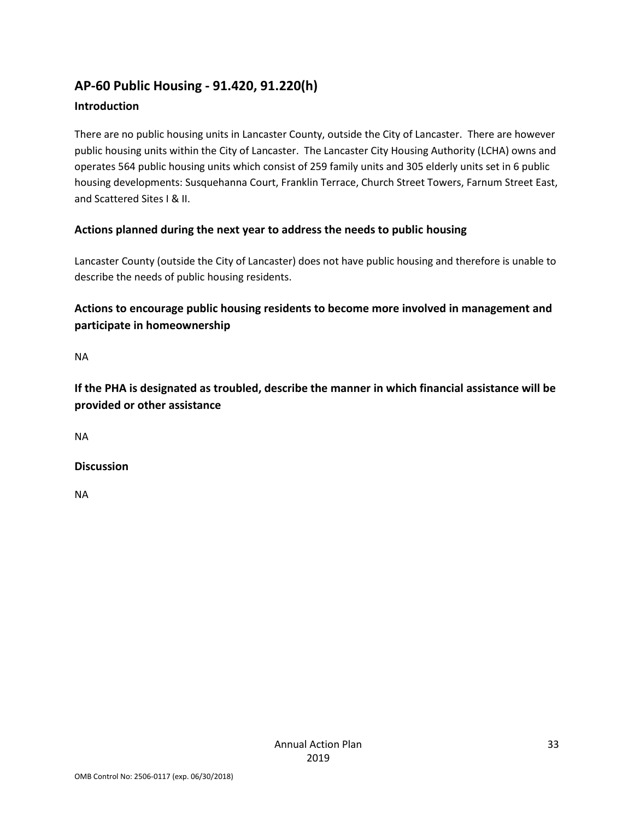# **AP-60 Public Housing - 91.420, 91.220(h)**

#### **Introduction**

There are no public housing units in Lancaster County, outside the City of Lancaster. There are however public housing units within the City of Lancaster. The Lancaster City Housing Authority (LCHA) owns and operates 564 public housing units which consist of 259 family units and 305 elderly units set in 6 public housing developments: Susquehanna Court, Franklin Terrace, Church Street Towers, Farnum Street East, and Scattered Sites I & II.

#### **Actions planned during the next year to address the needs to public housing**

Lancaster County (outside the City of Lancaster) does not have public housing and therefore is unable to describe the needs of public housing residents.

### **Actions to encourage public housing residents to become more involved in management and participate in homeownership**

NA

**If the PHA is designated as troubled, describe the manner in which financial assistance will be provided or other assistance** 

NA

**Discussion**

NA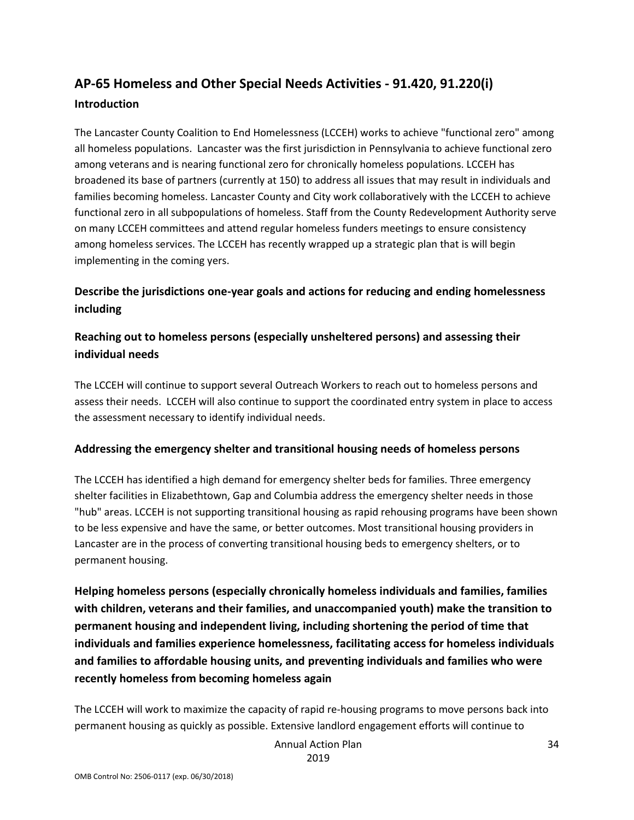## **AP-65 Homeless and Other Special Needs Activities - 91.420, 91.220(i) Introduction**

The Lancaster County Coalition to End Homelessness (LCCEH) works to achieve "functional zero" among all homeless populations. Lancaster was the first jurisdiction in Pennsylvania to achieve functional zero among veterans and is nearing functional zero for chronically homeless populations. LCCEH has broadened its base of partners (currently at 150) to address all issues that may result in individuals and families becoming homeless. Lancaster County and City work collaboratively with the LCCEH to achieve functional zero in all subpopulations of homeless. Staff from the County Redevelopment Authority serve on many LCCEH committees and attend regular homeless funders meetings to ensure consistency among homeless services. The LCCEH has recently wrapped up a strategic plan that is will begin implementing in the coming yers.

#### **Describe the jurisdictions one-year goals and actions for reducing and ending homelessness including**

#### **Reaching out to homeless persons (especially unsheltered persons) and assessing their individual needs**

The LCCEH will continue to support several Outreach Workers to reach out to homeless persons and assess their needs. LCCEH will also continue to support the coordinated entry system in place to access the assessment necessary to identify individual needs.

#### **Addressing the emergency shelter and transitional housing needs of homeless persons**

The LCCEH has identified a high demand for emergency shelter beds for families. Three emergency shelter facilities in Elizabethtown, Gap and Columbia address the emergency shelter needs in those "hub" areas. LCCEH is not supporting transitional housing as rapid rehousing programs have been shown to be less expensive and have the same, or better outcomes. Most transitional housing providers in Lancaster are in the process of converting transitional housing beds to emergency shelters, or to permanent housing.

**Helping homeless persons (especially chronically homeless individuals and families, families with children, veterans and their families, and unaccompanied youth) make the transition to permanent housing and independent living, including shortening the period of time that individuals and families experience homelessness, facilitating access for homeless individuals and families to affordable housing units, and preventing individuals and families who were recently homeless from becoming homeless again**

The LCCEH will work to maximize the capacity of rapid re-housing programs to move persons back into permanent housing as quickly as possible. Extensive landlord engagement efforts will continue to

> Annual Action Plan 2019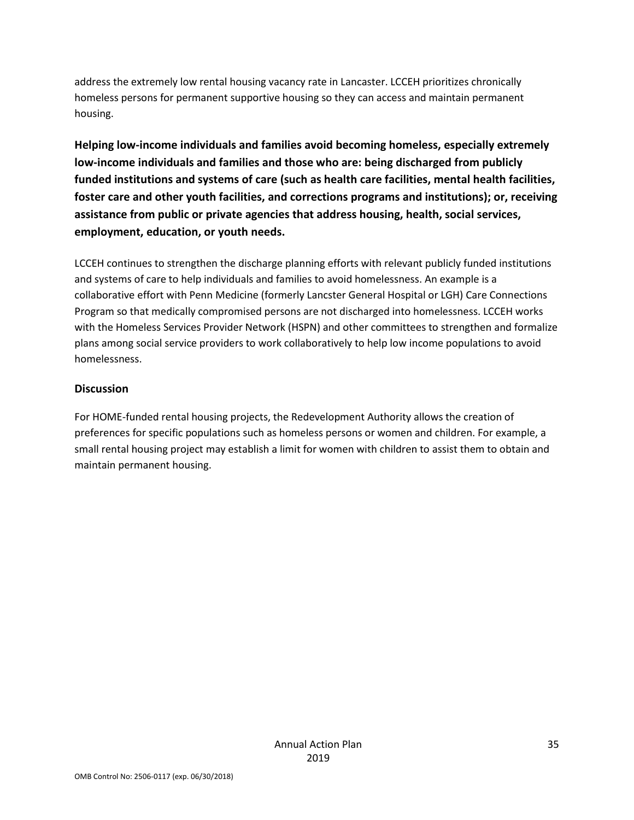address the extremely low rental housing vacancy rate in Lancaster. LCCEH prioritizes chronically homeless persons for permanent supportive housing so they can access and maintain permanent housing.

**Helping low-income individuals and families avoid becoming homeless, especially extremely low-income individuals and families and those who are: being discharged from publicly funded institutions and systems of care (such as health care facilities, mental health facilities, foster care and other youth facilities, and corrections programs and institutions); or, receiving assistance from public or private agencies that address housing, health, social services, employment, education, or youth needs.**

LCCEH continues to strengthen the discharge planning efforts with relevant publicly funded institutions and systems of care to help individuals and families to avoid homelessness. An example is a collaborative effort with Penn Medicine (formerly Lancster General Hospital or LGH) Care Connections Program so that medically compromised persons are not discharged into homelessness. LCCEH works with the Homeless Services Provider Network (HSPN) and other committees to strengthen and formalize plans among social service providers to work collaboratively to help low income populations to avoid homelessness.

#### **Discussion**

For HOME-funded rental housing projects, the Redevelopment Authority allows the creation of preferences for specific populations such as homeless persons or women and children. For example, a small rental housing project may establish a limit for women with children to assist them to obtain and maintain permanent housing.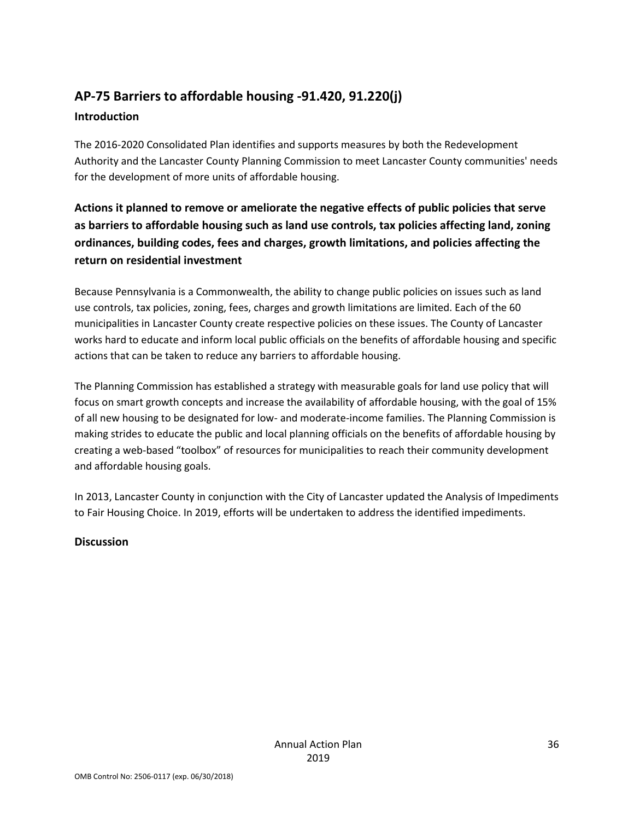# **AP-75 Barriers to affordable housing -91.420, 91.220(j)**

#### **Introduction**

The 2016-2020 Consolidated Plan identifies and supports measures by both the Redevelopment Authority and the Lancaster County Planning Commission to meet Lancaster County communities' needs for the development of more units of affordable housing.

**Actions it planned to remove or ameliorate the negative effects of public policies that serve as barriers to affordable housing such as land use controls, tax policies affecting land, zoning ordinances, building codes, fees and charges, growth limitations, and policies affecting the return on residential investment**

Because Pennsylvania is a Commonwealth, the ability to change public policies on issues such as land use controls, tax policies, zoning, fees, charges and growth limitations are limited. Each of the 60 municipalities in Lancaster County create respective policies on these issues. The County of Lancaster works hard to educate and inform local public officials on the benefits of affordable housing and specific actions that can be taken to reduce any barriers to affordable housing.

The Planning Commission has established a strategy with measurable goals for land use policy that will focus on smart growth concepts and increase the availability of affordable housing, with the goal of 15% of all new housing to be designated for low- and moderate-income families. The Planning Commission is making strides to educate the public and local planning officials on the benefits of affordable housing by creating a web-based "toolbox" of resources for municipalities to reach their community development and affordable housing goals.

In 2013, Lancaster County in conjunction with the City of Lancaster updated the Analysis of Impediments to Fair Housing Choice. In 2019, efforts will be undertaken to address the identified impediments.

#### **Discussion**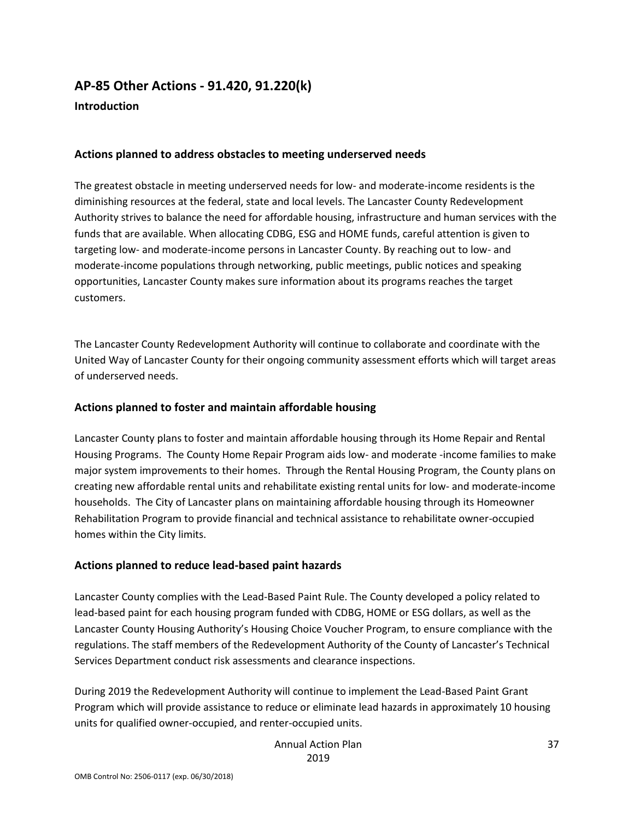## **AP-85 Other Actions - 91.420, 91.220(k) Introduction**

#### **Actions planned to address obstacles to meeting underserved needs**

The greatest obstacle in meeting underserved needs for low- and moderate-income residents is the diminishing resources at the federal, state and local levels. The Lancaster County Redevelopment Authority strives to balance the need for affordable housing, infrastructure and human services with the funds that are available. When allocating CDBG, ESG and HOME funds, careful attention is given to targeting low- and moderate-income persons in Lancaster County. By reaching out to low- and moderate-income populations through networking, public meetings, public notices and speaking opportunities, Lancaster County makes sure information about its programs reaches the target customers.

The Lancaster County Redevelopment Authority will continue to collaborate and coordinate with the United Way of Lancaster County for their ongoing community assessment efforts which will target areas of underserved needs.

#### **Actions planned to foster and maintain affordable housing**

Lancaster County plans to foster and maintain affordable housing through its Home Repair and Rental Housing Programs. The County Home Repair Program aids low- and moderate -income families to make major system improvements to their homes. Through the Rental Housing Program, the County plans on creating new affordable rental units and rehabilitate existing rental units for low- and moderate-income households. The City of Lancaster plans on maintaining affordable housing through its Homeowner Rehabilitation Program to provide financial and technical assistance to rehabilitate owner-occupied homes within the City limits.

#### **Actions planned to reduce lead-based paint hazards**

Lancaster County complies with the Lead-Based Paint Rule. The County developed a policy related to lead-based paint for each housing program funded with CDBG, HOME or ESG dollars, as well as the Lancaster County Housing Authority's Housing Choice Voucher Program, to ensure compliance with the regulations. The staff members of the Redevelopment Authority of the County of Lancaster's Technical Services Department conduct risk assessments and clearance inspections.

During 2019 the Redevelopment Authority will continue to implement the Lead-Based Paint Grant Program which will provide assistance to reduce or eliminate lead hazards in approximately 10 housing units for qualified owner-occupied, and renter-occupied units.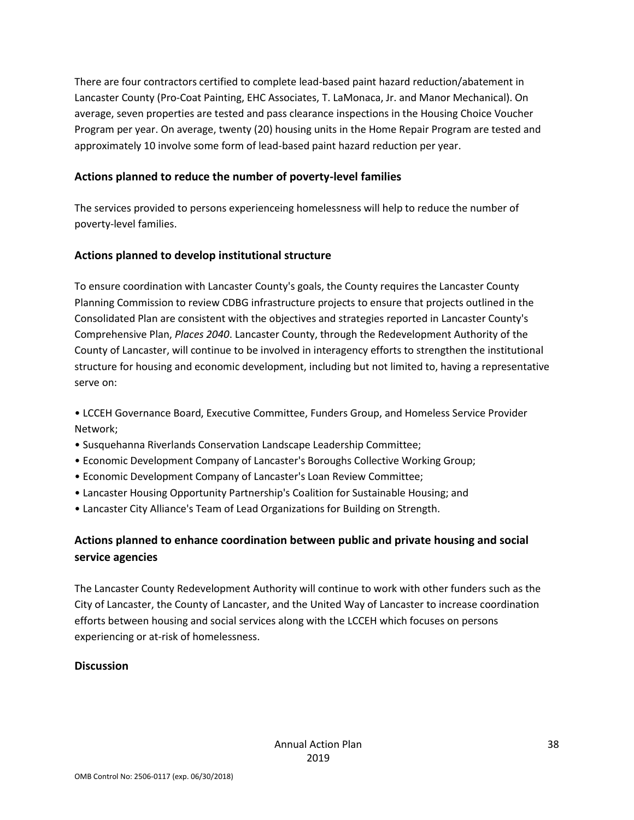There are four contractors certified to complete lead-based paint hazard reduction/abatement in Lancaster County (Pro-Coat Painting, EHC Associates, T. LaMonaca, Jr. and Manor Mechanical). On average, seven properties are tested and pass clearance inspections in the Housing Choice Voucher Program per year. On average, twenty (20) housing units in the Home Repair Program are tested and approximately 10 involve some form of lead-based paint hazard reduction per year.

#### **Actions planned to reduce the number of poverty-level families**

The services provided to persons experienceing homelessness will help to reduce the number of poverty-level families.

#### **Actions planned to develop institutional structure**

To ensure coordination with Lancaster County's goals, the County requires the Lancaster County Planning Commission to review CDBG infrastructure projects to ensure that projects outlined in the Consolidated Plan are consistent with the objectives and strategies reported in Lancaster County's Comprehensive Plan, *Places 2040*. Lancaster County, through the Redevelopment Authority of the County of Lancaster, will continue to be involved in interagency efforts to strengthen the institutional structure for housing and economic development, including but not limited to, having a representative serve on:

• LCCEH Governance Board, Executive Committee, Funders Group, and Homeless Service Provider Network;

- Susquehanna Riverlands Conservation Landscape Leadership Committee;
- Economic Development Company of Lancaster's Boroughs Collective Working Group;
- Economic Development Company of Lancaster's Loan Review Committee;
- Lancaster Housing Opportunity Partnership's Coalition for Sustainable Housing; and
- Lancaster City Alliance's Team of Lead Organizations for Building on Strength.

### **Actions planned to enhance coordination between public and private housing and social service agencies**

The Lancaster County Redevelopment Authority will continue to work with other funders such as the City of Lancaster, the County of Lancaster, and the United Way of Lancaster to increase coordination efforts between housing and social services along with the LCCEH which focuses on persons experiencing or at-risk of homelessness.

#### **Discussion**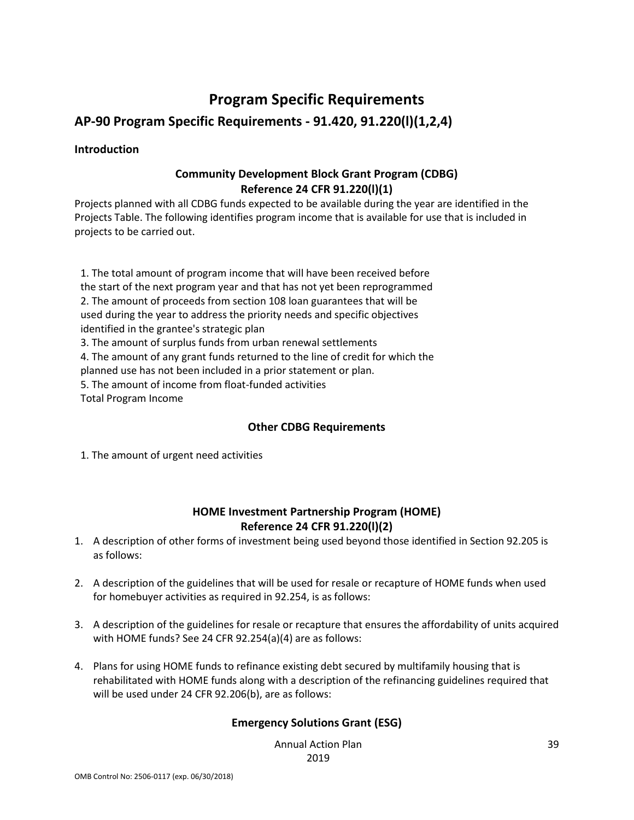## **Program Specific Requirements**

### **AP-90 Program Specific Requirements - 91.420, 91.220(l)(1,2,4)**

#### **Introduction**

#### **Community Development Block Grant Program (CDBG) Reference 24 CFR 91.220(l)(1)**

Projects planned with all CDBG funds expected to be available during the year are identified in the Projects Table. The following identifies program income that is available for use that is included in projects to be carried out.

1. The total amount of program income that will have been received before the start of the next program year and that has not yet been reprogrammed 2. The amount of proceeds from section 108 loan guarantees that will be used during the year to address the priority needs and specific objectives identified in the grantee's strategic plan 3. The amount of surplus funds from urban renewal settlements

4. The amount of any grant funds returned to the line of credit for which the planned use has not been included in a prior statement or plan.

5. The amount of income from float-funded activities

Total Program Income

#### **Other CDBG Requirements**

1. The amount of urgent need activities

#### **HOME Investment Partnership Program (HOME) Reference 24 CFR 91.220(l)(2)**

- 1. A description of other forms of investment being used beyond those identified in Section 92.205 is as follows:
- 2. A description of the guidelines that will be used for resale or recapture of HOME funds when used for homebuyer activities as required in 92.254, is as follows:
- 3. A description of the guidelines for resale or recapture that ensures the affordability of units acquired with HOME funds? See 24 CFR 92.254(a)(4) are as follows:
- 4. Plans for using HOME funds to refinance existing debt secured by multifamily housing that is rehabilitated with HOME funds along with a description of the refinancing guidelines required that will be used under 24 CFR 92.206(b), are as follows:

#### **Emergency Solutions Grant (ESG)**

Annual Action Plan 2019